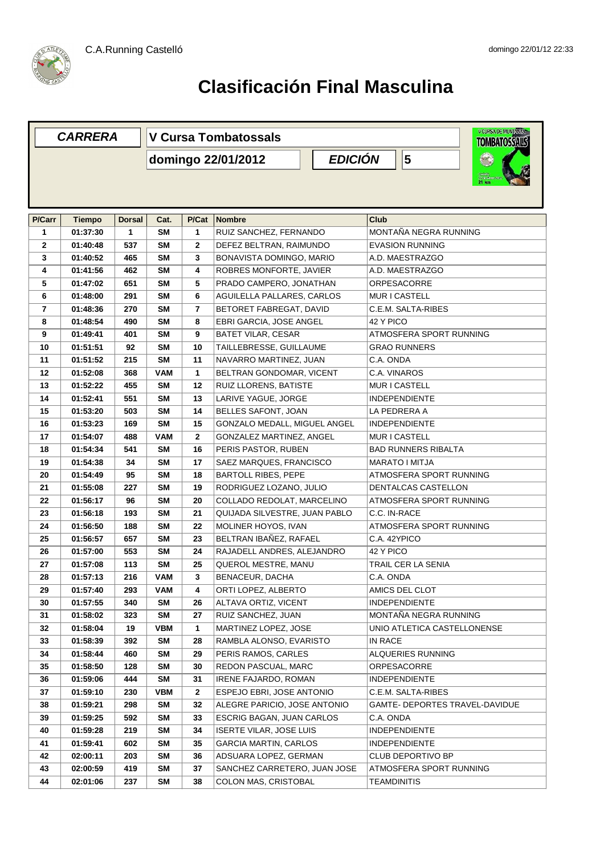

|                | <b>CARRERA</b> |               | V CURSA DE MUNTARRA<br><b>V Cursa Tombatossals</b><br><b>TOMBATOSSALS</b> |                |                                           |                                |  |  |  |
|----------------|----------------|---------------|---------------------------------------------------------------------------|----------------|-------------------------------------------|--------------------------------|--|--|--|
|                |                |               |                                                                           |                | <b>EDICIÓN</b><br>5<br>domingo 22/01/2012 |                                |  |  |  |
|                |                |               |                                                                           |                |                                           |                                |  |  |  |
|                |                |               |                                                                           |                |                                           |                                |  |  |  |
|                |                |               |                                                                           |                |                                           |                                |  |  |  |
| P/Carr         | <b>Tiempo</b>  | <b>Dorsal</b> | Cat.                                                                      | P/Cat          | <b>Nombre</b>                             | Club                           |  |  |  |
| 1              | 01:37:30       | 1             | <b>SM</b>                                                                 | 1              | RUIZ SANCHEZ, FERNANDO                    | MONTAÑA NEGRA RUNNING          |  |  |  |
| $\mathbf{2}$   | 01:40:48       | 537           | <b>SM</b>                                                                 | $\mathbf{2}$   | DEFEZ BELTRAN, RAIMUNDO                   | <b>EVASION RUNNING</b>         |  |  |  |
| 3              | 01:40:52       | 465           | <b>SM</b>                                                                 | 3              | BONAVISTA DOMINGO, MARIO                  | A.D. MAESTRAZGO                |  |  |  |
| 4              | 01:41:56       | 462           | SΜ                                                                        | 4              | ROBRES MONFORTE, JAVIER                   | A.D. MAESTRAZGO                |  |  |  |
| 5              | 01:47:02       | 651           | <b>SM</b>                                                                 | 5              | PRADO CAMPERO, JONATHAN                   | <b>ORPESACORRE</b>             |  |  |  |
| 6              | 01:48:00       | 291           | <b>SM</b>                                                                 | 6              | AGUILELLA PALLARES, CARLOS                | MUR I CASTELL                  |  |  |  |
| $\overline{7}$ | 01:48:36       | 270           | <b>SM</b>                                                                 | $\overline{7}$ | BETORET FABREGAT, DAVID                   | C.E.M. SALTA-RIBES             |  |  |  |
| 8              | 01:48:54       | 490           | <b>SM</b>                                                                 | 8              | EBRI GARCIA, JOSE ANGEL                   | 42 Y PICO                      |  |  |  |
| 9              | 01:49:41       | 401           | <b>SM</b>                                                                 | 9              | <b>BATET VILAR, CESAR</b>                 | ATMOSFERA SPORT RUNNING        |  |  |  |
| 10             | 01:51:51       | 92            | <b>SM</b>                                                                 | 10             | TAILLEBRESSE, GUILLAUME                   | <b>GRAO RUNNERS</b>            |  |  |  |
| 11             | 01:51:52       | 215           | <b>SM</b>                                                                 | 11             | NAVARRO MARTINEZ, JUAN                    | C.A. ONDA                      |  |  |  |
| 12             | 01:52:08       | 368           | VAM                                                                       | 1              | BELTRAN GONDOMAR, VICENT                  | C.A. VINAROS                   |  |  |  |
| 13             | 01:52:22       | 455           | <b>SM</b>                                                                 | 12             | RUIZ LLORENS, BATISTE                     | MUR I CASTELL                  |  |  |  |
| 14             | 01:52:41       | 551           | SΜ                                                                        | 13             | LARIVE YAGUE, JORGE                       | <b>INDEPENDIENTE</b>           |  |  |  |
| 15             | 01:53:20       | 503           | <b>SM</b>                                                                 | 14             | BELLES SAFONT, JOAN                       | LA PEDRERA A                   |  |  |  |
| 16             | 01:53:23       | 169           | <b>SM</b>                                                                 | 15             | GONZALO MEDALL, MIGUEL ANGEL              | <b>INDEPENDIENTE</b>           |  |  |  |
| 17             | 01:54:07       | 488           | <b>VAM</b>                                                                | $\mathbf{2}$   | GONZALEZ MARTINEZ, ANGEL                  | MUR I CASTELL                  |  |  |  |
| 18             | 01:54:34       | 541           | <b>SM</b>                                                                 | 16             | PERIS PASTOR, RUBEN                       | <b>BAD RUNNERS RIBALTA</b>     |  |  |  |
| 19             | 01:54:38       | 34            | <b>SM</b>                                                                 | 17             | SAEZ MARQUES, FRANCISCO                   | <b>MARATO I MITJA</b>          |  |  |  |
| 20             | 01:54:49       | 95            | <b>SM</b>                                                                 | 18             | <b>BARTOLL RIBES, PEPE</b>                | ATMOSFERA SPORT RUNNING        |  |  |  |
| 21             | 01:55:08       | 227           | <b>SM</b>                                                                 | 19             | RODRIGUEZ LOZANO, JULIO                   | DENTALCAS CASTELLON            |  |  |  |
| 22             | 01:56:17       | 96            | <b>SM</b>                                                                 | 20             | COLLADO REDOLAT, MARCELINO                | ATMOSFERA SPORT RUNNING        |  |  |  |
| 23             | 01:56:18       | 193           | <b>SM</b>                                                                 | 21             | QUIJADA SILVESTRE, JUAN PABLO             | C.C. IN-RACE                   |  |  |  |
| 24             | 01:56:50       | 188           | <b>SM</b>                                                                 | 22             | MOLINER HOYOS, IVAN                       | ATMOSFERA SPORT RUNNING        |  |  |  |
| 25             | 01:56:57       | 657           | SΜ                                                                        | 23             | BELTRAN IBAÑEZ, RAFAEL                    | C.A. 42YPICO                   |  |  |  |
| 26             | 01:57:00       | 553           | <b>SM</b>                                                                 | 24             | RAJADELL ANDRES, ALEJANDRO                | 42 Y PICO                      |  |  |  |
| 27             | 01:57:08       | 113           | <b>SM</b>                                                                 | 25             | QUEROL MESTRE, MANU                       | <b>TRAIL CER LA SENIA</b>      |  |  |  |
| 28             | 01:57:13       | 216           | <b>VAM</b>                                                                | 3              | <b>BENACEUR, DACHA</b>                    | C.A. ONDA                      |  |  |  |
| 29             | 01:57:40       | 293           | <b>VAM</b>                                                                | 4              | ORTI LOPEZ, ALBERTO                       | AMICS DEL CLOT                 |  |  |  |
| 30             | 01:57:55       | 340           | <b>SM</b>                                                                 | 26             | ALTAVA ORTIZ, VICENT                      | <b>INDEPENDIENTE</b>           |  |  |  |
| 31             | 01:58:02       | 323           | SM                                                                        | 27             | RUIZ SANCHEZ, JUAN                        | MONTAÑA NEGRA RUNNING          |  |  |  |
| 32             | 01:58:04       | 19            | VBM                                                                       | 1              | MARTINEZ LOPEZ, JOSE                      | UNIO ATLETICA CASTELLONENSE    |  |  |  |
| 33             | 01:58:39       | 392           | SM                                                                        | 28             | RAMBLA ALONSO, EVARISTO                   | IN RACE                        |  |  |  |
| 34             | 01:58:44       | 460           | SM                                                                        | 29             | PERIS RAMOS, CARLES                       | ALQUERIES RUNNING              |  |  |  |
| 35             | 01:58:50       | 128           | <b>SM</b>                                                                 | 30             | REDON PASCUAL, MARC                       | ORPESACORRE                    |  |  |  |
| 36             | 01:59:06       | 444           | SM                                                                        | 31             | <b>IRENE FAJARDO, ROMAN</b>               | <b>INDEPENDIENTE</b>           |  |  |  |
| 37             | 01:59:10       | 230           | VBM                                                                       | $\mathbf{2}$   | ESPEJO EBRI, JOSE ANTONIO                 | C.E.M. SALTA-RIBES             |  |  |  |
| 38             | 01:59:21       | 298           | SM                                                                        | 32             | ALEGRE PARICIO, JOSE ANTONIO              | GAMTE- DEPORTES TRAVEL-DAVIDUE |  |  |  |
| 39             | 01:59:25       | 592           | <b>SM</b>                                                                 | 33             | ESCRIG BAGAN, JUAN CARLOS                 | C.A. ONDA                      |  |  |  |
| 40             | 01:59:28       | 219           | SM                                                                        | 34             | <b>ISERTE VILAR, JOSE LUIS</b>            | <b>INDEPENDIENTE</b>           |  |  |  |
| 41             | 01:59:41       | 602           | SM                                                                        | 35             | <b>GARCIA MARTIN, CARLOS</b>              | <b>INDEPENDIENTE</b>           |  |  |  |
| 42             | 02:00:11       | 203           | SM                                                                        | 36             | ADSUARA LOPEZ, GERMAN                     | CLUB DEPORTIVO BP              |  |  |  |
| 43             | 02:00:59       | 419           | <b>SM</b>                                                                 | 37             | SANCHEZ CARRETERO, JUAN JOSE              | ATMOSFERA SPORT RUNNING        |  |  |  |
| 44             | 02:01:06       | 237           | SM                                                                        | 38             | COLON MAS, CRISTOBAL                      | <b>TEAMDINITIS</b>             |  |  |  |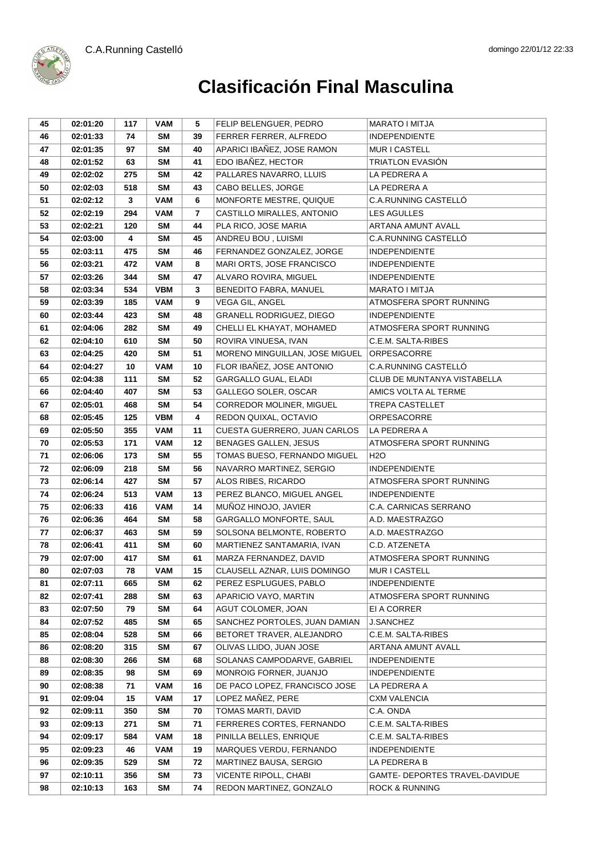



| 45 | 02:01:20 | 117 | VAM        | 5                       | FELIP BELENGUER, PEDRO         | <b>MARATO I MITJA</b>          |
|----|----------|-----|------------|-------------------------|--------------------------------|--------------------------------|
| 46 | 02:01:33 | 74  | SM         | 39                      | FERRER FERRER, ALFREDO         | <b>INDEPENDIENTE</b>           |
| 47 | 02:01:35 | 97  | <b>SM</b>  | 40                      | APARICI IBAÑEZ, JOSE RAMON     | MUR I CASTELL                  |
| 48 | 02:01:52 | 63  | SM         | 41                      | EDO IBAÑEZ, HECTOR             | <b>TRIATLON EVASION</b>        |
| 49 | 02:02:02 | 275 | <b>SM</b>  | 42                      | PALLARES NAVARRO, LLUIS        | LA PEDRERA A                   |
| 50 | 02:02:03 | 518 | <b>SM</b>  | 43                      | CABO BELLES, JORGE             | LA PEDRERA A                   |
| 51 | 02:02:12 | 3   | <b>VAM</b> | 6                       | MONFORTE MESTRE, QUIQUE        | C.A.RUNNING CASTELLÓ           |
| 52 | 02:02:19 | 294 | <b>VAM</b> | $\overline{\mathbf{r}}$ | CASTILLO MIRALLES, ANTONIO     | <b>LES AGULLES</b>             |
| 53 | 02:02:21 | 120 | <b>SM</b>  | 44                      | PLA RICO, JOSE MARIA           | ARTANA AMUNT AVALL             |
| 54 | 02:03:00 | 4   | SM         | 45                      | ANDREU BOU, LUISMI             | C.A.RUNNING CASTELLÓ           |
| 55 | 02:03:11 | 475 | <b>SM</b>  | 46                      | FERNANDEZ GONZALEZ, JORGE      | <b>INDEPENDIENTE</b>           |
| 56 | 02:03:21 | 472 | <b>VAM</b> | 8                       | MARI ORTS, JOSE FRANCISCO      | <b>INDEPENDIENTE</b>           |
| 57 | 02:03:26 | 344 | SM         | 47                      | ALVARO ROVIRA, MIGUEL          | <b>INDEPENDIENTE</b>           |
| 58 | 02:03:34 | 534 | <b>VBM</b> | 3                       | BENEDITO FABRA, MANUEL         | MARATO I MITJA                 |
| 59 | 02:03:39 | 185 | <b>VAM</b> | 9                       | VEGA GIL, ANGEL                | ATMOSFERA SPORT RUNNING        |
| 60 | 02:03:44 | 423 | <b>SM</b>  | 48                      | GRANELL RODRIGUEZ, DIEGO       | <b>INDEPENDIENTE</b>           |
| 61 | 02:04:06 | 282 | <b>SM</b>  | 49                      | CHELLI EL KHAYAT, MOHAMED      | ATMOSFERA SPORT RUNNING        |
| 62 | 02:04:10 | 610 | <b>SM</b>  | 50                      | ROVIRA VINUESA, IVAN           | C.E.M. SALTA-RIBES             |
| 63 | 02:04:25 | 420 | <b>SM</b>  | 51                      | MORENO MINGUILLAN, JOSE MIGUEL | <b>ORPESACORRE</b>             |
| 64 | 02:04:27 | 10  | <b>VAM</b> | 10                      | FLOR IBAÑEZ, JOSE ANTONIO      | C.A.RUNNING CASTELLÓ           |
| 65 | 02:04:38 | 111 | SM         | 52                      | GARGALLO GUAL, ELADI           | CLUB DE MUNTANYA VISTABELLA    |
| 66 | 02:04:40 | 407 | <b>SM</b>  | 53                      | GALLEGO SOLER, OSCAR           | AMICS VOLTA AL TERME           |
| 67 | 02:05:01 | 468 | <b>SM</b>  | 54                      | CORREDOR MOLINER, MIGUEL       | <b>TREPA CASTELLET</b>         |
| 68 | 02:05:45 | 125 | <b>VBM</b> | 4                       | REDON QUIXAL, OCTAVIO          | <b>ORPESACORRE</b>             |
| 69 | 02:05:50 | 355 | <b>VAM</b> | 11                      | CUESTA GUERRERO, JUAN CARLOS   | LA PEDRERA A                   |
| 70 | 02:05:53 | 171 | <b>VAM</b> | 12                      | BENAGES GALLEN, JESUS          | ATMOSFERA SPORT RUNNING        |
| 71 | 02:06:06 | 173 | <b>SM</b>  | 55                      | TOMAS BUESO, FERNANDO MIGUEL   | H <sub>2</sub> O               |
| 72 | 02:06:09 | 218 | <b>SM</b>  | 56                      | NAVARRO MARTINEZ, SERGIO       | <b>INDEPENDIENTE</b>           |
| 73 | 02:06:14 | 427 | <b>SM</b>  | 57                      | ALOS RIBES, RICARDO            | ATMOSFERA SPORT RUNNING        |
| 74 | 02:06:24 | 513 | <b>VAM</b> | 13                      | PEREZ BLANCO, MIGUEL ANGEL     | <b>INDEPENDIENTE</b>           |
| 75 | 02:06:33 | 416 | <b>VAM</b> | 14                      | MUÑOZ HINOJO, JAVIER           | C.A. CARNICAS SERRANO          |
| 76 | 02:06:36 | 464 | <b>SM</b>  | 58                      | <b>GARGALLO MONFORTE, SAUL</b> | A.D. MAESTRAZGO                |
| 77 | 02:06:37 | 463 | SM         | 59                      | SOLSONA BELMONTE, ROBERTO      | A.D. MAESTRAZGO                |
| 78 | 02:06:41 | 411 | <b>SM</b>  | 60                      | MARTIENEZ SANTAMARIA, IVAN     | C.D. ATZENETA                  |
| 79 | 02:07:00 | 417 | <b>SM</b>  | 61                      | MARZA FERNANDEZ, DAVID         | ATMOSFERA SPORT RUNNING        |
| 80 | 02:07:03 | 78  | <b>VAM</b> | 15                      | CLAUSELL AZNAR, LUIS DOMINGO   | <b>MUR I CASTELL</b>           |
| 81 | 02:07:11 | 665 | SM         | 62                      | PEREZ ESPLUGUES, PABLO         | <b>INDEPENDIENTE</b>           |
| 82 | 02:07:41 | 288 | <b>SM</b>  | 63                      | APARICIO VAYO, MARTIN          | ATMOSFERA SPORT RUNNING        |
| 83 | 02:07:50 | 79  | <b>SM</b>  | 64                      | AGUT COLOMER, JOAN             | EI A CORRER                    |
| 84 | 02:07:52 | 485 | <b>SM</b>  | 65                      | SANCHEZ PORTOLES, JUAN DAMIAN  | <b>J.SANCHEZ</b>               |
| 85 | 02:08:04 | 528 | <b>SM</b>  | 66                      | BETORET TRAVER, ALEJANDRO      | C.E.M. SALTA-RIBES             |
| 86 | 02:08:20 | 315 | <b>SM</b>  | 67                      | OLIVAS LLIDO, JUAN JOSE        | ARTANA AMUNT AVALL             |
| 88 | 02:08:30 | 266 | <b>SM</b>  | 68                      | SOLANAS CAMPODARVE, GABRIEL    | <b>INDEPENDIENTE</b>           |
| 89 | 02:08:35 | 98  | <b>SM</b>  | 69                      | MONROIG FORNER, JUANJO         | <b>INDEPENDIENTE</b>           |
| 90 | 02:08:38 | 71  | <b>VAM</b> | 16                      | DE PACO LOPEZ, FRANCISCO JOSE  | LA PEDRERA A                   |
| 91 | 02:09:04 | 15  | <b>VAM</b> | 17                      | LOPEZ MAÑEZ, PERE              | <b>CXM VALENCIA</b>            |
| 92 | 02:09:11 | 350 | <b>SM</b>  | 70                      | TOMAS MARTI, DAVID             | C.A. ONDA                      |
| 93 | 02:09:13 | 271 | <b>SM</b>  | 71                      | FERRERES CORTES, FERNANDO      | C.E.M. SALTA-RIBES             |
| 94 | 02:09:17 | 584 | <b>VAM</b> | 18                      | PINILLA BELLES, ENRIQUE        | C.E.M. SALTA-RIBES             |
| 95 | 02:09:23 | 46  | <b>VAM</b> | 19                      | MARQUES VERDU, FERNANDO        | <b>INDEPENDIENTE</b>           |
| 96 | 02:09:35 | 529 | <b>SM</b>  | 72                      | MARTINEZ BAUSA, SERGIO         | LA PEDRERA B                   |
| 97 | 02:10:11 | 356 | <b>SM</b>  | 73                      | VICENTE RIPOLL, CHABI          | GAMTE- DEPORTES TRAVEL-DAVIDUE |
| 98 | 02:10:13 | 163 | <b>SM</b>  | 74                      | REDON MARTINEZ, GONZALO        | <b>ROCK &amp; RUNNING</b>      |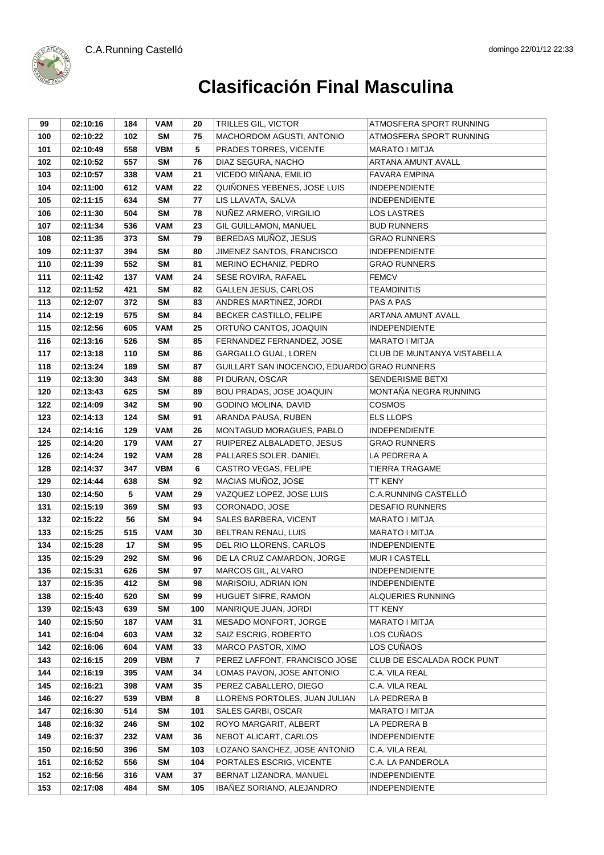



| 99  | 02:10:16 | 184 | <b>VAM</b> | 20  | TRILLES GIL, VICTOR                          | ATMOSFERA SPORT RUNNING            |
|-----|----------|-----|------------|-----|----------------------------------------------|------------------------------------|
| 100 | 02:10:22 | 102 | SM         | 75  | MACHORDOM AGUSTI, ANTONIO                    | ATMOSFERA SPORT RUNNING            |
| 101 | 02:10:49 | 558 | <b>VBM</b> | 5   | PRADES TORRES, VICENTE                       | MARATO I MITJA                     |
| 102 | 02:10:52 | 557 | <b>SM</b>  | 76  | DIAZ SEGURA, NACHO                           | ARTANA AMUNT AVALL                 |
| 103 | 02:10:57 | 338 | <b>VAM</b> | 21  | VICEDO MIÑANA, EMILIO                        | <b>FAVARA EMPINA</b>               |
| 104 | 02:11:00 | 612 | <b>VAM</b> | 22  | QUIÑONES YEBENES, JOSE LUIS                  | <b>INDEPENDIENTE</b>               |
| 105 | 02:11:15 | 634 | <b>SM</b>  | 77  | LIS LLAVATA, SALVA                           | <b>INDEPENDIENTE</b>               |
| 106 | 02:11:30 | 504 | <b>SM</b>  | 78  | NUÑEZ ARMERO, VIRGILIO                       | <b>LOS LASTRES</b>                 |
| 107 | 02:11:34 | 536 | <b>VAM</b> | 23  | GIL GUILLAMON, MANUEL                        | <b>BUD RUNNERS</b>                 |
| 108 | 02:11:35 | 373 | SM         | 79  | BEREDAS MUÑOZ, JESUS                         | <b>GRAO RUNNERS</b>                |
| 109 | 02:11:37 | 394 | <b>SM</b>  | 80  | JIMENEZ SANTOS, FRANCISCO                    | <b>INDEPENDIENTE</b>               |
| 110 | 02:11:39 | 552 | <b>SM</b>  | 81  | MERINO ECHANIZ, PEDRO                        | <b>GRAO RUNNERS</b>                |
| 111 | 02:11:42 | 137 | <b>VAM</b> | 24  | SESE ROVIRA, RAFAEL                          | <b>FEMCV</b>                       |
| 112 | 02:11:52 | 421 | <b>SM</b>  | 82  | GALLEN JESUS, CARLOS                         | TEAMDINITIS                        |
| 113 | 02:12:07 | 372 | <b>SM</b>  | 83  | ANDRES MARTINEZ, JORDI                       | PAS A PAS                          |
| 114 | 02:12:19 | 575 | <b>SM</b>  | 84  | BECKER CASTILLO, FELIPE                      | ARTANA AMUNT AVALL                 |
| 115 | 02:12:56 | 605 | <b>VAM</b> | 25  | ORTUÑO CANTOS, JOAQUIN                       | <b>INDEPENDIENTE</b>               |
| 116 | 02:13:16 | 526 | <b>SM</b>  | 85  | FERNANDEZ FERNANDEZ, JOSE                    | MARATO I MITJA                     |
| 117 | 02:13:18 | 110 | <b>SM</b>  | 86  | GARGALLO GUAL, LOREN                         | <b>CLUB DE MUNTANYA VISTABELLA</b> |
| 118 | 02:13:24 | 189 | <b>SM</b>  | 87  | GUILLART SAN INOCENCIO, EDUARDO GRAO RUNNERS |                                    |
| 119 | 02:13:30 | 343 | SM         | 88  | PI DURAN, OSCAR                              | SENDERISME BETXI                   |
| 120 | 02:13:43 | 625 | <b>SM</b>  | 89  | BOU PRADAS, JOSE JOAQUIN                     | MONTAÑA NEGRA RUNNING              |
| 122 | 02:14:09 | 342 | SM         | 90  | GODINO MOLINA, DAVID                         | <b>COSMOS</b>                      |
| 123 | 02:14:13 | 124 | <b>SM</b>  | 91  | ARANDA PAUSA, RUBEN                          | <b>ELS LLOPS</b>                   |
| 124 | 02:14:16 | 129 | <b>VAM</b> | 26  | MONTAGUD MORAGUES, PABLO                     | <b>INDEPENDIENTE</b>               |
| 125 | 02:14:20 | 179 | <b>VAM</b> | 27  | RUIPEREZ ALBALADETO, JESUS                   | <b>GRAO RUNNERS</b>                |
| 126 | 02:14:24 | 192 | <b>VAM</b> | 28  | PALLARES SOLER, DANIEL                       | LA PEDRERA A                       |
| 128 | 02:14:37 | 347 | <b>VBM</b> | 6   | CASTRO VEGAS, FELIPE                         | <b>TIERRA TRAGAME</b>              |
| 129 | 02:14:44 | 638 | SM         | 92  | MACIAS MUÑOZ, JOSE                           | <b>TT KENY</b>                     |
| 130 | 02:14:50 | 5   | <b>VAM</b> | 29  | VAZQUEZ LOPEZ, JOSE LUIS                     | C.A.RUNNING CASTELLÓ               |
| 131 | 02:15:19 | 369 | SM         | 93  | CORONADO, JOSE                               | <b>DESAFIO RUNNERS</b>             |
| 132 | 02:15:22 | 56  | <b>SM</b>  | 94  | SALES BARBERA, VICENT                        | MARATO I MITJA                     |
| 133 | 02:15:25 | 515 | VAM        | 30  | BELTRAN RENAU, LUIS                          | MARATO I MITJA                     |
| 134 | 02:15:28 | 17  | SM         | 95  | DEL RIO LLORENS, CARLOS                      | <b>INDEPENDIENTE</b>               |
| 135 | 02:15:29 | 292 | <b>SM</b>  | 96  | DE LA CRUZ CAMARDON, JORGE                   | MUR I CASTELL                      |
| 136 | 02:15:31 | 626 | <b>SM</b>  | 97  | MARCOS GIL, ALVARO                           | INDEPENDIENTE                      |
| 137 | 02:15:35 | 412 | <b>SM</b>  | 98  | MARISOIU, ADRIAN ION                         | <b>INDEPENDIENTE</b>               |
| 138 | 02:15:40 | 520 | <b>SM</b>  | 99  | HUGUET SIFRE, RAMON                          | ALQUERIES RUNNING                  |
| 139 | 02:15:43 | 639 | <b>SM</b>  | 100 | MANRIQUE JUAN, JORDI                         | TT KENY                            |
| 140 | 02:15:50 | 187 | <b>VAM</b> | 31  | MESADO MONFORT, JORGE                        | MARATO I MITJA                     |
| 141 | 02:16:04 | 603 | <b>VAM</b> | 32  | SAIZ ESCRIG, ROBERTO                         | LOS CUÑAOS                         |
| 142 | 02:16:06 | 604 | <b>VAM</b> | 33  | MARCO PASTOR, XIMO                           | LOS CUÑAOS                         |
| 143 | 02:16:15 | 209 | <b>VBM</b> | 7   | PEREZ LAFFONT, FRANCISCO JOSE                | CLUB DE ESCALADA ROCK PUNT         |
| 144 | 02:16:19 | 395 | <b>VAM</b> | 34  | LOMAS PAVON, JOSE ANTONIO                    | C.A. VILA REAL                     |
| 145 | 02:16:21 | 398 | <b>VAM</b> | 35  | PEREZ CABALLERO, DIEGO                       | C.A. VILA REAL                     |
| 146 | 02:16:27 | 539 | <b>VBM</b> | 8   | LLORENS PORTOLES, JUAN JULIAN                | LA PEDRERA B                       |
| 147 | 02:16:30 | 514 | <b>SM</b>  | 101 | SALES GARBI, OSCAR                           | MARATO I MITJA                     |
| 148 | 02:16:32 | 246 | <b>SM</b>  | 102 | ROYO MARGARIT, ALBERT                        | LA PEDRERA B                       |
| 149 | 02:16:37 | 232 | <b>VAM</b> | 36  | NEBOT ALICART, CARLOS                        | <b>INDEPENDIENTE</b>               |
| 150 | 02:16:50 | 396 | <b>SM</b>  | 103 | LOZANO SANCHEZ, JOSE ANTONIO                 | C.A. VILA REAL                     |
| 151 | 02:16:52 | 556 | <b>SM</b>  | 104 | PORTALES ESCRIG, VICENTE                     | C.A. LA PANDEROLA                  |
| 152 | 02:16:56 | 316 | <b>VAM</b> | 37  | BERNAT LIZANDRA, MANUEL                      | <b>INDEPENDIENTE</b>               |
| 153 | 02:17:08 | 484 | <b>SM</b>  | 105 | IBAÑEZ SORIANO, ALEJANDRO                    | <b>INDEPENDIENTE</b>               |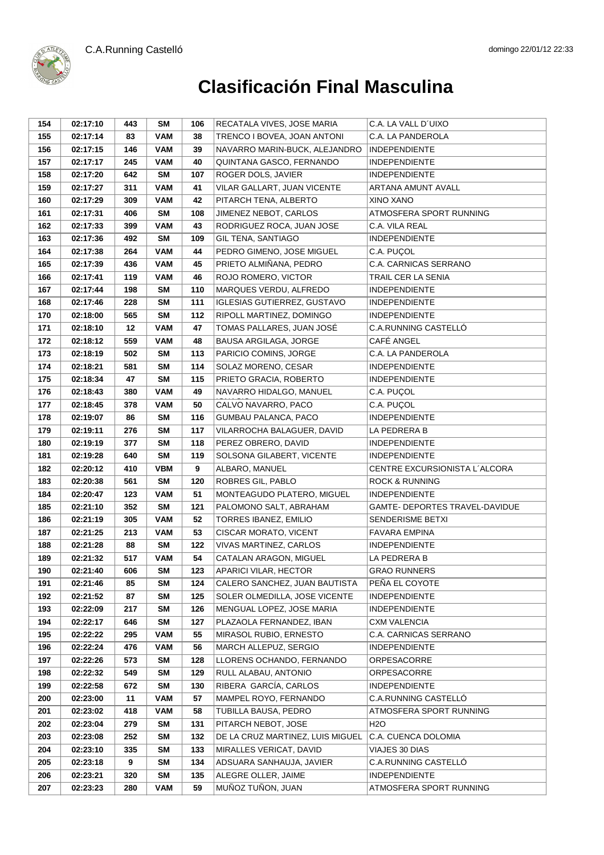



| 154 | 02:17:10 | 443 | <b>SM</b>  | 106 | RECATALA VIVES, JOSE MARIA         | C.A. LA VALL D'UIXO            |
|-----|----------|-----|------------|-----|------------------------------------|--------------------------------|
| 155 | 02:17:14 | 83  | <b>VAM</b> | 38  | TRENCO I BOVEA, JOAN ANTONI        | C.A. LA PANDEROLA              |
| 156 | 02:17:15 | 146 | <b>VAM</b> | 39  | NAVARRO MARIN-BUCK, ALEJANDRO      | <b>INDEPENDIENTE</b>           |
| 157 | 02:17:17 | 245 | <b>VAM</b> | 40  | QUINTANA GASCO, FERNANDO           | <b>INDEPENDIENTE</b>           |
| 158 | 02:17:20 | 642 | <b>SM</b>  | 107 | ROGER DOLS, JAVIER                 | <b>INDEPENDIENTE</b>           |
| 159 | 02:17:27 | 311 | <b>VAM</b> | 41  | VILAR GALLART, JUAN VICENTE        | ARTANA AMUNT AVALL             |
| 160 | 02:17:29 | 309 | <b>VAM</b> | 42  | PITARCH TENA, ALBERTO              | XINO XANO                      |
| 161 | 02:17:31 | 406 | SM         | 108 | JIMENEZ NEBOT, CARLOS              | ATMOSFERA SPORT RUNNING        |
| 162 | 02:17:33 | 399 | <b>VAM</b> | 43  | RODRIGUEZ ROCA, JUAN JOSE          | C.A. VILA REAL                 |
| 163 | 02:17:36 | 492 | <b>SM</b>  | 109 | GIL TENA, SANTIAGO                 | <b>INDEPENDIENTE</b>           |
| 164 | 02:17:38 | 264 | <b>VAM</b> | 44  | PEDRO GIMENO, JOSE MIGUEL          | C.A. PUCOL                     |
| 165 | 02:17:39 | 436 | <b>VAM</b> | 45  | PRIETO ALMIÑANA, PEDRO             | C.A. CARNICAS SERRANO          |
| 166 | 02:17:41 | 119 | <b>VAM</b> | 46  | ROJO ROMERO, VICTOR                | TRAIL CER LA SENIA             |
| 167 | 02:17:44 | 198 | <b>SM</b>  | 110 | MARQUES VERDU, ALFREDO             | <b>INDEPENDIENTE</b>           |
| 168 | 02:17:46 | 228 | <b>SM</b>  | 111 | <b>IGLESIAS GUTIERREZ, GUSTAVO</b> | <b>INDEPENDIENTE</b>           |
| 170 | 02:18:00 | 565 | <b>SM</b>  | 112 | RIPOLL MARTINEZ, DOMINGO           | <b>INDEPENDIENTE</b>           |
| 171 | 02:18:10 | 12  | <b>VAM</b> | 47  | TOMAS PALLARES, JUAN JOSÉ          | C.A.RUNNING CASTELLÓ           |
| 172 | 02:18:12 | 559 | <b>VAM</b> | 48  | BAUSA ARGILAGA, JORGE              | CAFÉ ANGEL                     |
| 173 | 02:18:19 | 502 | <b>SM</b>  | 113 | PARICIO COMINS, JORGE              | C.A. LA PANDEROLA              |
| 174 | 02:18:21 | 581 | <b>SM</b>  | 114 | SOLAZ MORENO, CESAR                | <b>INDEPENDIENTE</b>           |
| 175 | 02:18:34 | 47  | <b>SM</b>  | 115 | PRIETO GRACIA, ROBERTO             | <b>INDEPENDIENTE</b>           |
| 176 | 02:18:43 | 380 | <b>VAM</b> | 49  | NAVARRO HIDALGO, MANUEL            | C.A. PUÇOL                     |
| 177 | 02:18:45 | 378 | <b>VAM</b> | 50  | CALVO NAVARRO, PACO                | C.A. PUÇOL                     |
| 178 | 02:19:07 | 86  | <b>SM</b>  | 116 | GUMBAU PALANCA, PACO               | <b>INDEPENDIENTE</b>           |
| 179 | 02:19:11 | 276 | <b>SM</b>  | 117 | VILARROCHA BALAGUER, DAVID         | LA PEDRERA B                   |
| 180 | 02:19:19 | 377 | SM         | 118 | PEREZ OBRERO, DAVID                | <b>INDEPENDIENTE</b>           |
| 181 | 02:19:28 | 640 | <b>SM</b>  | 119 | SOLSONA GILABERT, VICENTE          | <b>INDEPENDIENTE</b>           |
| 182 | 02:20:12 | 410 | <b>VBM</b> | 9   | ALBARO, MANUEL                     | CENTRE EXCURSIONISTA L'ALCORA  |
| 183 | 02:20:38 | 561 | SM         | 120 | ROBRES GIL, PABLO                  | <b>ROCK &amp; RUNNING</b>      |
| 184 | 02:20:47 | 123 | <b>VAM</b> | 51  | MONTEAGUDO PLATERO, MIGUEL         | <b>INDEPENDIENTE</b>           |
| 185 | 02:21:10 | 352 | <b>SM</b>  | 121 | PALOMONO SALT, ABRAHAM             | GAMTE- DEPORTES TRAVEL-DAVIDUE |
| 186 | 02:21:19 | 305 | <b>VAM</b> | 52  | <b>TORRES IBANEZ, EMILIO</b>       | SENDERISME BETXI               |
| 187 | 02:21:25 | 213 | <b>VAM</b> | 53  | CISCAR MORATO, VICENT              | <b>FAVARA EMPINA</b>           |
| 188 | 02:21:28 | 88  | <b>SM</b>  | 122 | VIVAS MARTINEZ, CARLOS             | <b>INDEPENDIENTE</b>           |
| 189 | 02:21:32 | 517 | <b>VAM</b> | 54  | CATALAN ARAGON, MIGUEL             | LA PEDRERA B                   |
| 190 | 02:21:40 | 606 | <b>SM</b>  | 123 | APARICI VILAR, HECTOR              | <b>GRAO RUNNERS</b>            |
| 191 | 02:21:46 | 85  | SM         | 124 | CALERO SANCHEZ, JUAN BAUTISTA      | PEÑA EL COYOTE                 |
| 192 | 02:21:52 | 87  | <b>SM</b>  | 125 | SOLER OLMEDILLA, JOSE VICENTE      | <b>INDEPENDIENTE</b>           |
| 193 | 02:22:09 | 217 | <b>SM</b>  | 126 | MENGUAL LOPEZ, JOSE MARIA          | <b>INDEPENDIENTE</b>           |
| 194 | 02:22:17 | 646 | <b>SM</b>  | 127 | PLAZAOLA FERNANDEZ, IBAN           | <b>CXM VALENCIA</b>            |
| 195 | 02:22:22 | 295 | <b>VAM</b> | 55  | MIRASOL RUBIO, ERNESTO             | C.A. CARNICAS SERRANO          |
| 196 | 02:22:24 | 476 | <b>VAM</b> | 56  | MARCH ALLEPUZ, SERGIO              | <b>INDEPENDIENTE</b>           |
| 197 | 02:22:26 | 573 | <b>SM</b>  | 128 | LLORENS OCHANDO, FERNANDO          | ORPESACORRE                    |
| 198 | 02:22:32 | 549 | <b>SM</b>  | 129 | RULL ALABAU, ANTONIO               | ORPESACORRE                    |
| 199 | 02:22:58 | 672 | <b>SM</b>  | 130 | RIBERA GARCÍA, CARLOS              | <b>INDEPENDIENTE</b>           |
| 200 | 02:23:00 | 11  | <b>VAM</b> | 57  | MAMPEL ROYO, FERNANDO              | C.A.RUNNING CASTELLO           |
| 201 | 02:23:02 | 418 | <b>VAM</b> | 58  | TUBILLA BAUSA, PEDRO               | ATMOSFERA SPORT RUNNING        |
| 202 | 02:23:04 | 279 | SM         | 131 | PITARCH NEBOT, JOSE                | H <sub>2</sub> O               |
| 203 | 02:23:08 | 252 | <b>SM</b>  | 132 | DE LA CRUZ MARTINEZ, LUIS MIGUEL   | C.A. CUENCA DOLOMIA            |
| 204 | 02:23:10 | 335 | <b>SM</b>  | 133 | MIRALLES VERICAT, DAVID            | VIAJES 30 DIAS                 |
| 205 | 02:23:18 | 9   | <b>SM</b>  | 134 | ADSUARA SANHAUJA, JAVIER           | C.A.RUNNING CASTELLÓ           |
| 206 | 02:23:21 | 320 | <b>SM</b>  | 135 | ALEGRE OLLER, JAIME                | <b>INDEPENDIENTE</b>           |
| 207 | 02:23:23 | 280 | <b>VAM</b> | 59  | MUÑOZ TUÑON, JUAN                  | ATMOSFERA SPORT RUNNING        |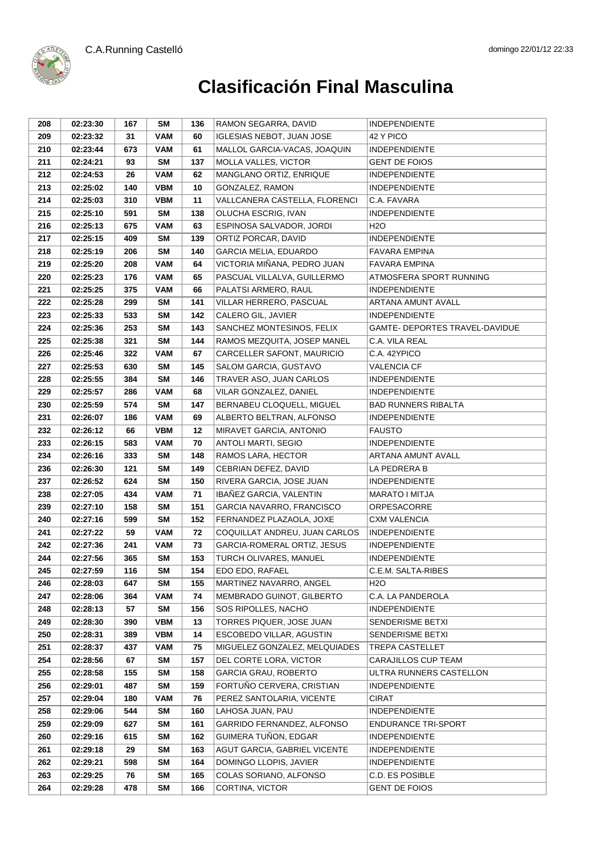



| 208 | 02:23:30 | 167 | SM         | 136 | RAMON SEGARRA, DAVID             | <b>INDEPENDIENTE</b>           |
|-----|----------|-----|------------|-----|----------------------------------|--------------------------------|
| 209 | 02:23:32 | 31  | <b>VAM</b> | 60  | <b>IGLESIAS NEBOT, JUAN JOSE</b> | 42 Y PICO                      |
| 210 | 02:23:44 | 673 | <b>VAM</b> | 61  | MALLOL GARCIA-VACAS, JOAQUIN     | <b>INDEPENDIENTE</b>           |
| 211 | 02:24:21 | 93  | <b>SM</b>  | 137 | MOLLA VALLES, VICTOR             | <b>GENT DE FOIOS</b>           |
| 212 | 02:24:53 | 26  | <b>VAM</b> | 62  | MANGLANO ORTIZ, ENRIQUE          | <b>INDEPENDIENTE</b>           |
| 213 | 02:25:02 | 140 | <b>VBM</b> | 10  | GONZALEZ, RAMON                  | <b>INDEPENDIENTE</b>           |
| 214 | 02:25:03 | 310 | <b>VBM</b> | 11  | VALLCANERA CASTELLA, FLORENCI    | C.A. FAVARA                    |
| 215 | 02:25:10 | 591 | <b>SM</b>  | 138 | OLUCHA ESCRIG, IVAN              | <b>INDEPENDIENTE</b>           |
| 216 | 02:25:13 | 675 | <b>VAM</b> | 63  | ESPINOSA SALVADOR, JORDI         | H2O                            |
| 217 | 02:25:15 | 409 | SM         | 139 | ORTIZ PORCAR, DAVID              | <b>INDEPENDIENTE</b>           |
| 218 | 02:25:19 | 206 | SM         | 140 | <b>GARCIA MELIA, EDUARDO</b>     | <b>FAVARA EMPINA</b>           |
| 219 | 02:25:20 | 208 | <b>VAM</b> | 64  | VICTORIA MIÑANA, PEDRO JUAN      | <b>FAVARA EMPINA</b>           |
| 220 | 02:25:23 | 176 | <b>VAM</b> | 65  | PASCUAL VILLALVA, GUILLERMO      | ATMOSFERA SPORT RUNNING        |
| 221 | 02:25:25 | 375 | <b>VAM</b> | 66  | PALATSI ARMERO, RAUL             | <b>INDEPENDIENTE</b>           |
| 222 | 02:25:28 | 299 | <b>SM</b>  | 141 | VILLAR HERRERO, PASCUAL          | ARTANA AMUNT AVALL             |
| 223 | 02:25:33 | 533 | <b>SM</b>  | 142 | CALERO GIL, JAVIER               | <b>INDEPENDIENTE</b>           |
| 224 | 02:25:36 | 253 | SM         | 143 | SANCHEZ MONTESINOS, FELIX        | GAMTE- DEPORTES TRAVEL-DAVIDUE |
| 225 | 02:25:38 | 321 | <b>SM</b>  | 144 | RAMOS MEZQUITA, JOSEP MANEL      | C.A. VILA REAL                 |
| 226 | 02:25:46 | 322 | <b>VAM</b> | 67  | CARCELLER SAFONT, MAURICIO       | C.A. 42YPICO                   |
| 227 | 02:25:53 | 630 | <b>SM</b>  | 145 | SALOM GARCIA, GUSTAVO            | <b>VALENCIA CF</b>             |
| 228 | 02:25:55 | 384 | <b>SM</b>  | 146 | TRAVER ASO, JUAN CARLOS          | <b>INDEPENDIENTE</b>           |
| 229 | 02:25:57 | 286 | <b>VAM</b> | 68  | VILAR GONZALEZ, DANIEL           | <b>INDEPENDIENTE</b>           |
| 230 | 02:25:59 | 574 | SM         | 147 | BERNABEU CLOQUELL, MIGUEL        | <b>BAD RUNNERS RIBALTA</b>     |
| 231 | 02:26:07 | 186 | <b>VAM</b> | 69  | ALBERTO BELTRAN, ALFONSO         | <b>INDEPENDIENTE</b>           |
| 232 | 02:26:12 | 66  | <b>VBM</b> | 12  | MIRAVET GARCIA, ANTONIO          | <b>FAUSTO</b>                  |
| 233 | 02:26:15 | 583 | <b>VAM</b> | 70  | ANTOLI MARTI, SEGIO              | <b>INDEPENDIENTE</b>           |
| 234 | 02:26:16 | 333 | SM         | 148 | RAMOS LARA, HECTOR               | ARTANA AMUNT AVALL             |
| 236 | 02:26:30 | 121 | <b>SM</b>  | 149 | CEBRIAN DEFEZ, DAVID             | LA PEDRERA B                   |
| 237 | 02:26:52 | 624 | SM         | 150 | RIVERA GARCIA, JOSE JUAN         | <b>INDEPENDIENTE</b>           |
| 238 | 02:27:05 | 434 | <b>VAM</b> | 71  | IBAÑEZ GARCIA, VALENTIN          | <b>MARATO I MITJA</b>          |
| 239 | 02:27:10 | 158 | SM         | 151 | GARCIA NAVARRO, FRANCISCO        | ORPESACORRE                    |
| 240 | 02:27:16 | 599 | SM         | 152 | FERNANDEZ PLAZAOLA, JOXE         | <b>CXM VALENCIA</b>            |
| 241 | 02:27:22 | 59  | <b>VAM</b> | 72  | COQUILLAT ANDREU, JUAN CARLOS    | <b>INDEPENDIENTE</b>           |
| 242 | 02:27:36 | 241 | <b>VAM</b> | 73  | GARCIA-ROMERAL ORTIZ, JESUS      | <b>INDEPENDIENTE</b>           |
| 244 | 02:27:56 | 365 | <b>SM</b>  | 153 | TURCH OLIVARES, MANUEL           | <b>INDEPENDIENTE</b>           |
| 245 | 02:27:59 | 116 | <b>SM</b>  | 154 | EDO EDO, RAFAEL                  | C.E.M. SALTA-RIBES             |
| 246 | 02:28:03 | 647 | SM         | 155 | MARTINEZ NAVARRO, ANGEL          | H <sub>2</sub> O               |
| 247 | 02:28:06 | 364 | <b>VAM</b> | 74  | MEMBRADO GUINOT, GILBERTO        | C.A. LA PANDEROLA              |
| 248 | 02:28:13 | 57  | <b>SM</b>  | 156 | SOS RIPOLLES, NACHO              | <b>INDEPENDIENTE</b>           |
| 249 | 02:28:30 | 390 | <b>VBM</b> | 13  | TORRES PIQUER, JOSE JUAN         | SENDERISME BETXI               |
| 250 | 02:28:31 | 389 | <b>VBM</b> | 14  | ESCOBEDO VILLAR, AGUSTIN         | SENDERISME BETXI               |
| 251 | 02:28:37 | 437 | <b>VAM</b> | 75  | MIGUELEZ GONZALEZ, MELQUIADES    | TREPA CASTELLET                |
| 254 | 02:28:56 | 67  | <b>SM</b>  | 157 | DEL CORTE LORA, VICTOR           | CARAJILLOS CUP TEAM            |
| 255 | 02:28:58 | 155 | <b>SM</b>  | 158 | <b>GARCIA GRAU, ROBERTO</b>      | ULTRA RUNNERS CASTELLON        |
| 256 | 02:29:01 | 487 | <b>SM</b>  | 159 | FORTUÑO CERVERA, CRISTIAN        | <b>INDEPENDIENTE</b>           |
| 257 | 02:29:04 | 180 | VAM        | 76  | PEREZ SANTOLARIA, VICENTE        | <b>CIRAT</b>                   |
| 258 | 02:29:06 | 544 | <b>SM</b>  | 160 | LAHOSA JUAN, PAU                 | <b>INDEPENDIENTE</b>           |
| 259 | 02:29:09 | 627 | <b>SM</b>  | 161 | GARRIDO FERNANDEZ, ALFONSO       | ENDURANCE TRI-SPORT            |
| 260 | 02:29:16 | 615 | <b>SM</b>  | 162 | GUIMERA TUÑON, EDGAR             | <b>INDEPENDIENTE</b>           |
| 261 | 02:29:18 | 29  | <b>SM</b>  | 163 | AGUT GARCIA, GABRIEL VICENTE     | <b>INDEPENDIENTE</b>           |
| 262 | 02:29:21 | 598 | <b>SM</b>  | 164 | DOMINGO LLOPIS, JAVIER           | <b>INDEPENDIENTE</b>           |
| 263 | 02:29:25 | 76  | <b>SM</b>  | 165 | COLAS SORIANO, ALFONSO           | C.D. ES POSIBLE                |
| 264 | 02:29:28 | 478 | <b>SM</b>  | 166 | CORTINA, VICTOR                  | <b>GENT DE FOIOS</b>           |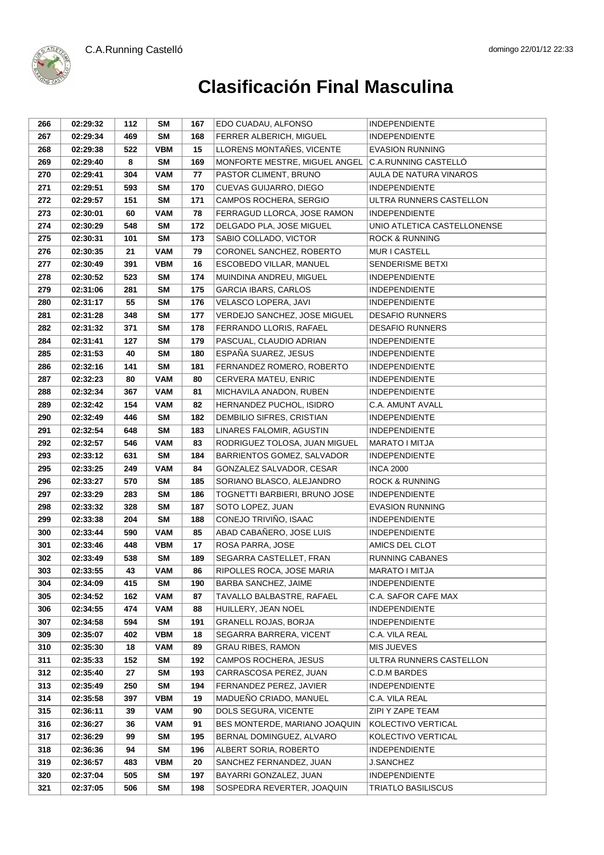

| 266 | 02:29:32 | 112 | SM         | 167 | EDO CUADAU, ALFONSO           | <b>INDEPENDIENTE</b>        |
|-----|----------|-----|------------|-----|-------------------------------|-----------------------------|
| 267 | 02:29:34 | 469 | SM         | 168 | FERRER ALBERICH, MIGUEL       | <b>INDEPENDIENTE</b>        |
| 268 | 02:29:38 | 522 | <b>VBM</b> | 15  | LLORENS MONTANES, VICENTE     | <b>EVASION RUNNING</b>      |
| 269 | 02:29:40 | 8   | <b>SM</b>  | 169 | MONFORTE MESTRE, MIGUEL ANGEL | C.A.RUNNING CASTELLÓ        |
| 270 | 02:29:41 | 304 | <b>VAM</b> | 77  | PASTOR CLIMENT, BRUNO         | AULA DE NATURA VINAROS      |
| 271 | 02:29:51 | 593 | SM         | 170 | CUEVAS GUIJARRO, DIEGO        | <b>INDEPENDIENTE</b>        |
| 272 | 02:29:57 | 151 | <b>SM</b>  | 171 | CAMPOS ROCHERA, SERGIO        | ULTRA RUNNERS CASTELLON     |
| 273 | 02:30:01 | 60  | <b>VAM</b> | 78  | FERRAGUD LLORCA, JOSE RAMON   | <b>INDEPENDIENTE</b>        |
| 274 | 02:30:29 | 548 | SM         | 172 | DELGADO PLA, JOSE MIGUEL      | UNIO ATLETICA CASTELLONENSE |
| 275 | 02:30:31 | 101 | <b>SM</b>  | 173 | SABIO COLLADO, VICTOR         | <b>ROCK &amp; RUNNING</b>   |
| 276 | 02:30:35 | 21  | <b>VAM</b> | 79  | CORONEL SANCHEZ, ROBERTO      | <b>MUR I CASTELL</b>        |
| 277 | 02:30:49 | 391 | <b>VBM</b> | 16  | ESCOBEDO VILLAR, MANUEL       | SENDERISME BETXI            |
| 278 | 02:30:52 | 523 | SM         | 174 | MUINDINA ANDREU, MIGUEL       | <b>INDEPENDIENTE</b>        |
| 279 | 02:31:06 | 281 | SM         | 175 | <b>GARCIA IBARS, CARLOS</b>   | <b>INDEPENDIENTE</b>        |
| 280 | 02:31:17 | 55  | <b>SM</b>  | 176 | VELASCO LOPERA, JAVI          | <b>INDEPENDIENTE</b>        |
| 281 | 02:31:28 | 348 | <b>SM</b>  | 177 | VERDEJO SANCHEZ, JOSE MIGUEL  | <b>DESAFIO RUNNERS</b>      |
| 282 | 02:31:32 | 371 | <b>SM</b>  | 178 | FERRANDO LLORIS, RAFAEL       | <b>DESAFIO RUNNERS</b>      |
| 284 | 02:31:41 | 127 | <b>SM</b>  | 179 | PASCUAL, CLAUDIO ADRIAN       | <b>INDEPENDIENTE</b>        |
| 285 | 02:31:53 | 40  | SM         | 180 | ESPAÑA SUAREZ, JESUS          | <b>INDEPENDIENTE</b>        |
| 286 | 02:32:16 | 141 | <b>SM</b>  | 181 | FERNANDEZ ROMERO, ROBERTO     | <b>INDEPENDIENTE</b>        |
| 287 | 02:32:23 | 80  | <b>VAM</b> | 80  | CERVERA MATEU, ENRIC          | <b>INDEPENDIENTE</b>        |
| 288 | 02:32:34 | 367 | <b>VAM</b> | 81  | MICHAVILA ANADON, RUBEN       | <b>INDEPENDIENTE</b>        |
| 289 | 02:32:42 | 154 | <b>VAM</b> | 82  | HERNANDEZ PUCHOL, ISIDRO      | C.A. AMUNT AVALL            |
| 290 | 02:32:49 | 446 | SM         | 182 | DEMBILIO SIFRES, CRISTIAN     | <b>INDEPENDIENTE</b>        |
| 291 | 02:32:54 | 648 | <b>SM</b>  | 183 | LINARES FALOMIR, AGUSTIN      | <b>INDEPENDIENTE</b>        |
| 292 | 02:32:57 | 546 | VAM        | 83  | RODRIGUEZ TOLOSA, JUAN MIGUEL | MARATO I MITJA              |
| 293 | 02:33:12 | 631 | <b>SM</b>  | 184 | BARRIENTOS GOMEZ, SALVADOR    | <b>INDEPENDIENTE</b>        |
| 295 | 02:33:25 | 249 | <b>VAM</b> | 84  | GONZALEZ SALVADOR, CESAR      | <b>INCA 2000</b>            |
| 296 | 02:33:27 | 570 | <b>SM</b>  | 185 | SORIANO BLASCO, ALEJANDRO     | <b>ROCK &amp; RUNNING</b>   |
| 297 | 02:33:29 | 283 | <b>SM</b>  | 186 | TOGNETTI BARBIERI, BRUNO JOSE | <b>INDEPENDIENTE</b>        |
| 298 | 02:33:32 | 328 | <b>SM</b>  | 187 | SOTO LOPEZ, JUAN              | <b>EVASION RUNNING</b>      |
| 299 | 02:33:38 | 204 | <b>SM</b>  | 188 | CONEJO TRIVIÑO, ISAAC         | <b>INDEPENDIENTE</b>        |
| 300 | 02:33:44 | 590 | <b>VAM</b> | 85  | ABAD CABAÑERO, JOSE LUIS      | <b>INDEPENDIENTE</b>        |
| 301 | 02:33:46 | 448 | <b>VBM</b> | 17  | ROSA PARRA, JOSE              | AMICS DEL CLOT              |
| 302 | 02:33:49 | 538 | <b>SM</b>  | 189 | SEGARRA CASTELLET, FRAN       | <b>RUNNING CABANES</b>      |
| 303 | 02:33:55 | 43  | <b>VAM</b> | 86  | RIPOLLES ROCA, JOSE MARIA     | <b>MARATO I MITJA</b>       |
| 304 | 02:34:09 | 415 | SM         | 190 | <b>BARBA SANCHEZ, JAIME</b>   | <b>INDEPENDIENTE</b>        |
| 305 | 02:34:52 | 162 | <b>VAM</b> | 87  | TAVALLO BALBASTRE, RAFAEL     | C.A. SAFOR CAFE MAX         |
| 306 | 02:34:55 | 474 | <b>VAM</b> | 88  | HUILLERY, JEAN NOEL           | <b>INDEPENDIENTE</b>        |
| 307 | 02:34:58 | 594 | <b>SM</b>  | 191 | <b>GRANELL ROJAS, BORJA</b>   | <b>INDEPENDIENTE</b>        |
| 309 | 02:35:07 | 402 | <b>VBM</b> | 18  | SEGARRA BARRERA, VICENT       | C.A. VILA REAL              |
| 310 | 02:35:30 | 18  | VAM        | 89  | <b>GRAU RIBES, RAMON</b>      | MIS JUEVES                  |
| 311 | 02:35:33 | 152 | <b>SM</b>  | 192 | CAMPOS ROCHERA, JESUS         | ULTRA RUNNERS CASTELLON     |
| 312 | 02:35:40 | 27  | <b>SM</b>  | 193 | CARRASCOSA PEREZ, JUAN        | C.D.M BARDES                |
| 313 | 02:35:49 | 250 | <b>SM</b>  | 194 | FERNANDEZ PEREZ, JAVIER       | <b>INDEPENDIENTE</b>        |
| 314 | 02:35:58 | 397 | <b>VBM</b> | 19  | MADUEÑO CRIADO, MANUEL        | C.A. VILA REAL              |
| 315 | 02:36:11 | 39  | <b>VAM</b> | 90  | DOLS SEGURA, VICENTE          | ZIPI Y ZAPE TEAM            |
| 316 | 02:36:27 | 36  | <b>VAM</b> | 91  | BES MONTERDE, MARIANO JOAQUIN | KOLECTIVO VERTICAL          |
| 317 | 02:36:29 | 99  | <b>SM</b>  | 195 | BERNAL DOMINGUEZ, ALVARO      | KOLECTIVO VERTICAL          |
| 318 | 02:36:36 | 94  | <b>SM</b>  | 196 | ALBERT SORIA, ROBERTO         | <b>INDEPENDIENTE</b>        |
| 319 | 02:36:57 | 483 | <b>VBM</b> | 20  | SANCHEZ FERNANDEZ, JUAN       | <b>J.SANCHEZ</b>            |
| 320 | 02:37:04 | 505 | <b>SM</b>  | 197 | BAYARRI GONZALEZ, JUAN        | <b>INDEPENDIENTE</b>        |
| 321 | 02:37:05 | 506 | <b>SM</b>  | 198 | SOSPEDRA REVERTER, JOAQUIN    | TRIATLO BASILISCUS          |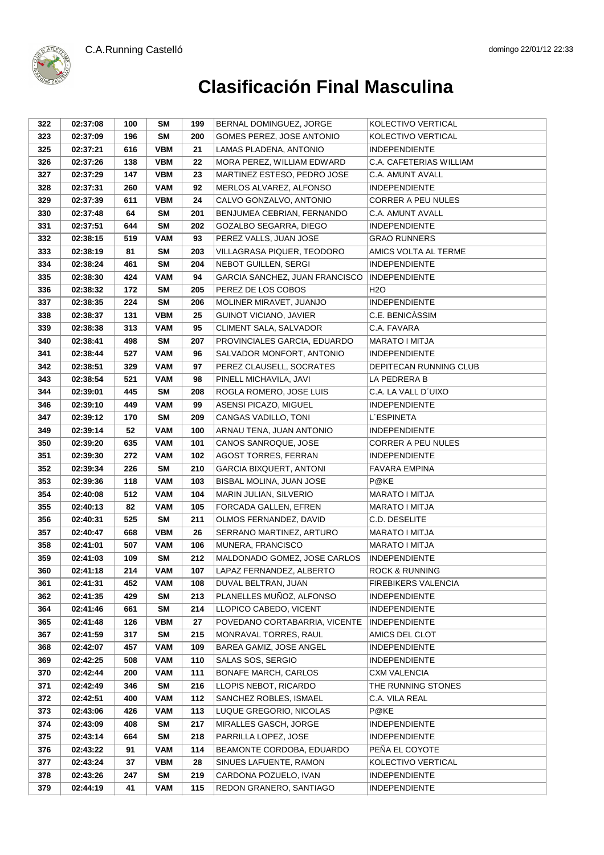

| 322 | 02:37:08 | 100 | SM         | 199 | BERNAL DOMINGUEZ, JORGE        | KOLECTIVO VERTICAL        |
|-----|----------|-----|------------|-----|--------------------------------|---------------------------|
| 323 | 02:37:09 | 196 | <b>SM</b>  | 200 | GOMES PEREZ, JOSE ANTONIO      | KOLECTIVO VERTICAL        |
| 325 | 02:37:21 | 616 | <b>VBM</b> | 21  | LAMAS PLADENA, ANTONIO         | <b>INDEPENDIENTE</b>      |
| 326 | 02:37:26 | 138 | <b>VBM</b> | 22  | MORA PEREZ, WILLIAM EDWARD     | C.A. CAFETERIAS WILLIAM   |
| 327 | 02:37:29 | 147 | <b>VBM</b> | 23  | MARTINEZ ESTESO, PEDRO JOSE    | C.A. AMUNT AVALL          |
| 328 | 02:37:31 | 260 | <b>VAM</b> | 92  | MERLOS ALVAREZ, ALFONSO        | <b>INDEPENDIENTE</b>      |
| 329 | 02:37:39 | 611 | <b>VBM</b> | 24  | CALVO GONZALVO, ANTONIO        | <b>CORRER A PEU NULES</b> |
| 330 | 02:37:48 | 64  | <b>SM</b>  | 201 | BENJUMEA CEBRIAN, FERNANDO     | C.A. AMUNT AVALL          |
| 331 | 02:37:51 | 644 | <b>SM</b>  | 202 | GOZALBO SEGARRA, DIEGO         | <b>INDEPENDIENTE</b>      |
| 332 | 02:38:15 | 519 | <b>VAM</b> | 93  | PEREZ VALLS, JUAN JOSE         | <b>GRAO RUNNERS</b>       |
| 333 | 02:38:19 | 81  | <b>SM</b>  | 203 | VILLAGRASA PIQUER, TEODORO     | AMICS VOLTA AL TERME      |
| 334 | 02:38:24 | 461 | <b>SM</b>  | 204 | NEBOT GUILLEN, SERGI           | <b>INDEPENDIENTE</b>      |
| 335 | 02:38:30 | 424 | <b>VAM</b> | 94  | GARCIA SANCHEZ, JUAN FRANCISCO | <b>INDEPENDIENTE</b>      |
| 336 | 02:38:32 | 172 | <b>SM</b>  | 205 | PEREZ DE LOS COBOS             | H <sub>2</sub> O          |
| 337 | 02:38:35 | 224 | <b>SM</b>  | 206 | MOLINER MIRAVET, JUANJO        | <b>INDEPENDIENTE</b>      |
| 338 | 02:38:37 | 131 | <b>VBM</b> | 25  | <b>GUINOT VICIANO, JAVIER</b>  | C.E. BENICASSIM           |
| 339 | 02:38:38 | 313 | VAM        | 95  | CLIMENT SALA, SALVADOR         | C.A. FAVARA               |
| 340 | 02:38:41 | 498 | <b>SM</b>  | 207 | PROVINCIALES GARCIA, EDUARDO   | <b>MARATO I MITJA</b>     |
| 341 | 02:38:44 | 527 | <b>VAM</b> | 96  | SALVADOR MONFORT, ANTONIO      | <b>INDEPENDIENTE</b>      |
| 342 | 02:38:51 | 329 | <b>VAM</b> | 97  | PEREZ CLAUSELL, SOCRATES       | DEPITECAN RUNNING CLUB    |
| 343 | 02:38:54 | 521 | <b>VAM</b> | 98  | PINELL MICHAVILA, JAVI         | LA PEDRERA B              |
| 344 | 02:39:01 | 445 | <b>SM</b>  | 208 | ROGLA ROMERO, JOSE LUIS        | C.A. LA VALL D'UIXO       |
| 346 | 02:39:10 | 449 | <b>VAM</b> | 99  | ASENSI PICAZO, MIGUEL          | <b>INDEPENDIENTE</b>      |
| 347 | 02:39:12 | 170 | <b>SM</b>  | 209 | CANGAS VADILLO, TONI           | <b>L'ESPINETA</b>         |
| 349 | 02:39:14 | 52  | <b>VAM</b> | 100 | ARNAU TENA, JUAN ANTONIO       | <b>INDEPENDIENTE</b>      |
| 350 | 02:39:20 | 635 | <b>VAM</b> | 101 | CANOS SANROQUE, JOSE           | <b>CORRER A PEU NULES</b> |
| 351 | 02:39:30 | 272 | <b>VAM</b> | 102 | <b>AGOST TORRES, FERRAN</b>    | <b>INDEPENDIENTE</b>      |
| 352 | 02:39:34 | 226 | <b>SM</b>  | 210 | <b>GARCIA BIXQUERT, ANTONI</b> | <b>FAVARA EMPINA</b>      |
| 353 | 02:39:36 | 118 | <b>VAM</b> | 103 | BISBAL MOLINA, JUAN JOSE       | P@KE                      |
| 354 | 02:40:08 | 512 | <b>VAM</b> | 104 | MARIN JULIAN, SILVERIO         | MARATO I MITJA            |
| 355 | 02:40:13 | 82  | <b>VAM</b> | 105 | FORCADA GALLEN, EFREN          | MARATO I MITJA            |
| 356 | 02:40:31 | 525 | SM         | 211 | OLMOS FERNANDEZ, DAVID         | C.D. DESELITE             |
| 357 | 02:40:47 | 668 | <b>VBM</b> | 26  | SERRANO MARTINEZ, ARTURO       | MARATO I MITJA            |
| 358 | 02:41:01 | 507 | <b>VAM</b> | 106 | MUNERA, FRANCISCO              | MARATO I MITJA            |
| 359 | 02:41:03 | 109 | <b>SM</b>  | 212 | MALDONADO GOMEZ, JOSE CARLOS   | <b>INDEPENDIENTE</b>      |
| 360 | 02:41:18 | 214 | <b>VAM</b> | 107 | LAPAZ FERNANDEZ, ALBERTO       | <b>ROCK &amp; RUNNING</b> |
| 361 | 02:41:31 | 452 | VAM        | 108 | DUVAL BELTRAN, JUAN            | FIREBIKERS VALENCIA       |
| 362 | 02:41:35 | 429 | <b>SM</b>  | 213 | PLANELLES MUÑOZ, ALFONSO       | <b>INDEPENDIENTE</b>      |
| 364 | 02:41:46 | 661 | <b>SM</b>  | 214 | LLOPICO CABEDO, VICENT         | <b>INDEPENDIENTE</b>      |
| 365 | 02:41:48 | 126 | VBM        | 27  | POVEDANO CORTABARRIA, VICENTE  | <b>INDEPENDIENTE</b>      |
| 367 | 02:41:59 | 317 | <b>SM</b>  | 215 | MONRAVAL TORRES, RAUL          | AMICS DEL CLOT            |
| 368 | 02:42:07 | 457 | <b>VAM</b> | 109 | BAREA GAMIZ, JOSE ANGEL        | <b>INDEPENDIENTE</b>      |
| 369 | 02:42:25 | 508 | <b>VAM</b> | 110 | SALAS SOS, SERGIO              | <b>INDEPENDIENTE</b>      |
| 370 | 02:42:44 | 200 | <b>VAM</b> | 111 | <b>BONAFE MARCH, CARLOS</b>    | <b>CXM VALENCIA</b>       |
| 371 | 02:42:49 | 346 | <b>SM</b>  | 216 | LLOPIS NEBOT, RICARDO          | THE RUNNING STONES        |
| 372 | 02:42:51 | 400 | <b>VAM</b> | 112 | SANCHEZ ROBLES, ISMAEL         | C.A. VILA REAL            |
| 373 | 02:43:06 | 426 | <b>VAM</b> | 113 | LUQUE GREGORIO, NICOLAS        | P@KE                      |
| 374 | 02:43:09 | 408 | <b>SM</b>  | 217 | MIRALLES GASCH, JORGE          | <b>INDEPENDIENTE</b>      |
| 375 | 02:43:14 | 664 | <b>SM</b>  | 218 | PARRILLA LOPEZ, JOSE           | <b>INDEPENDIENTE</b>      |
| 376 | 02:43:22 | 91  | <b>VAM</b> | 114 | BEAMONTE CORDOBA, EDUARDO      | PEÑA EL COYOTE            |
| 377 | 02:43:24 | 37  | <b>VBM</b> | 28  | SINUES LAFUENTE, RAMON         | KOLECTIVO VERTICAL        |
| 378 | 02:43:26 | 247 | <b>SM</b>  | 219 | CARDONA POZUELO, IVAN          | <b>INDEPENDIENTE</b>      |
| 379 | 02:44:19 | 41  | <b>VAM</b> | 115 | REDON GRANERO, SANTIAGO        | <b>INDEPENDIENTE</b>      |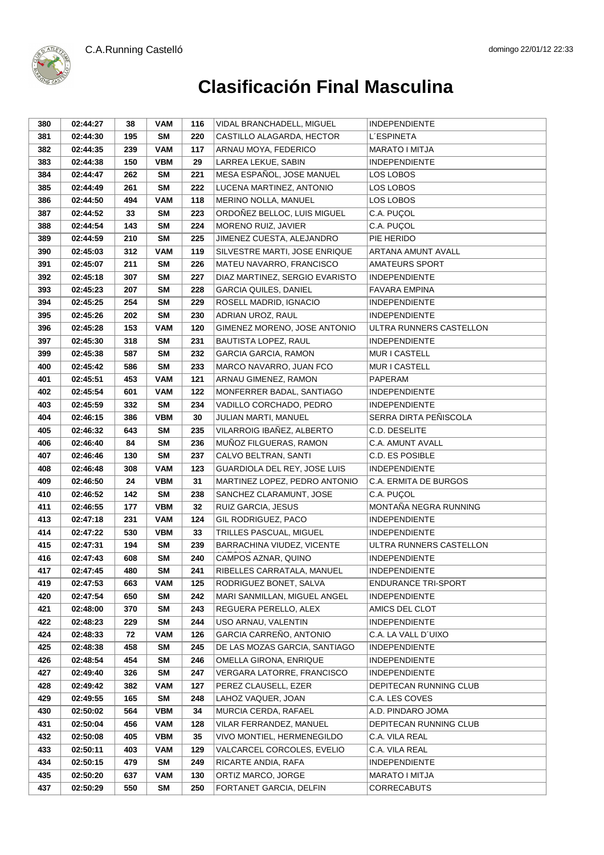

| 380 | 02:44:27 | 38  | <b>VAM</b> | 116 | VIDAL BRANCHADELL, MIGUEL      | <b>INDEPENDIENTE</b>       |
|-----|----------|-----|------------|-----|--------------------------------|----------------------------|
| 381 | 02:44:30 | 195 | <b>SM</b>  | 220 | CASTILLO ALAGARDA, HECTOR      | <b>L'ESPINETA</b>          |
| 382 | 02:44:35 | 239 | <b>VAM</b> | 117 | ARNAU MOYA, FEDERICO           | MARATO I MITJA             |
| 383 | 02:44:38 | 150 | <b>VBM</b> | 29  | LARREA LEKUE, SABIN            | <b>INDEPENDIENTE</b>       |
| 384 | 02:44:47 | 262 | <b>SM</b>  | 221 | MESA ESPAÑOL, JOSE MANUEL      | LOS LOBOS                  |
| 385 | 02:44:49 | 261 | <b>SM</b>  | 222 | LUCENA MARTINEZ, ANTONIO       | LOS LOBOS                  |
| 386 | 02:44:50 | 494 | VAM        | 118 | MERINO NOLLA, MANUEL           | LOS LOBOS                  |
| 387 | 02:44:52 | 33  | <b>SM</b>  | 223 | ORDOÑEZ BELLOC, LUIS MIGUEL    | C.A. PUÇOL                 |
| 388 | 02:44:54 | 143 | <b>SM</b>  | 224 | MORENO RUIZ, JAVIER            | C.A. PUÇOL                 |
| 389 | 02:44:59 | 210 | <b>SM</b>  | 225 | JIMENEZ CUESTA, ALEJANDRO      | PIE HERIDO                 |
| 390 | 02:45:03 | 312 | <b>VAM</b> | 119 | SILVESTRE MARTI, JOSE ENRIQUE  | ARTANA AMUNT AVALL         |
| 391 | 02:45:07 | 211 | SM         | 226 | MATEU NAVARRO, FRANCISCO       | <b>AMATEURS SPORT</b>      |
| 392 | 02:45:18 | 307 | SM         | 227 | DIAZ MARTINEZ, SERGIO EVARISTO | <b>INDEPENDIENTE</b>       |
| 393 | 02:45:23 | 207 | SM         | 228 | <b>GARCIA QUILES, DANIEL</b>   | <b>FAVARA EMPINA</b>       |
| 394 | 02:45:25 | 254 | <b>SM</b>  | 229 | ROSELL MADRID, IGNACIO         | INDEPENDIENTE              |
| 395 | 02:45:26 | 202 | <b>SM</b>  | 230 | ADRIAN UROZ, RAUL              | <b>INDEPENDIENTE</b>       |
| 396 | 02:45:28 | 153 | VAM        | 120 | GIMENEZ MORENO, JOSE ANTONIO   | ULTRA RUNNERS CASTELLON    |
| 397 | 02:45:30 | 318 | <b>SM</b>  | 231 | BAUTISTA LOPEZ, RAUL           | <b>INDEPENDIENTE</b>       |
| 399 | 02:45:38 | 587 | SM         | 232 | <b>GARCIA GARCIA, RAMON</b>    | MUR I CASTELL              |
| 400 | 02:45:42 | 586 | <b>SM</b>  | 233 | MARCO NAVARRO, JUAN FCO        | MUR I CASTELL              |
| 401 | 02:45:51 | 453 | <b>VAM</b> | 121 | ARNAU GIMENEZ, RAMON           | <b>PAPERAM</b>             |
| 402 | 02:45:54 | 601 | <b>VAM</b> | 122 | MONFERRER BADAL, SANTIAGO      | <b>INDEPENDIENTE</b>       |
| 403 | 02:45:59 | 332 | <b>SM</b>  | 234 | VADILLO CORCHADO, PEDRO        | <b>INDEPENDIENTE</b>       |
| 404 | 02:46:15 | 386 | <b>VBM</b> | 30  | JULIAN MARTI, MANUEL           | SERRA DIRTA PEÑISCOLA      |
| 405 | 02:46:32 | 643 | <b>SM</b>  | 235 | VILARROIG IBAÑEZ, ALBERTO      | C.D. DESELITE              |
| 406 | 02:46:40 | 84  | <b>SM</b>  | 236 | MUÑOZ FILGUERAS, RAMON         | C.A. AMUNT AVALL           |
| 407 | 02:46:46 | 130 | <b>SM</b>  | 237 | CALVO BELTRAN, SANTI           | C.D. ES POSIBLE            |
| 408 | 02:46:48 | 308 | <b>VAM</b> | 123 | GUARDIOLA DEL REY, JOSE LUIS   | <b>INDEPENDIENTE</b>       |
| 409 | 02:46:50 | 24  | <b>VBM</b> | 31  | MARTINEZ LOPEZ, PEDRO ANTONIO  | C.A. ERMITA DE BURGOS      |
| 410 | 02:46:52 | 142 | SM         | 238 | SANCHEZ CLARAMUNT, JOSE        | C.A. PUÇOL                 |
| 411 | 02:46:55 | 177 | <b>VBM</b> | 32  | RUIZ GARCIA, JESUS             | MONTAÑA NEGRA RUNNING      |
| 413 | 02:47:18 | 231 | <b>VAM</b> | 124 | <b>GIL RODRIGUEZ, PACO</b>     | <b>INDEPENDIENTE</b>       |
| 414 | 02:47:22 | 530 | <b>VBM</b> | 33  | TRILLES PASCUAL, MIGUEL        | <b>INDEPENDIENTE</b>       |
| 415 | 02:47:31 | 194 | <b>SM</b>  | 239 | BARRACHINA VIUDEZ, VICENTE     | ULTRA RUNNERS CASTELLON    |
| 416 | 02:47:43 | 608 | <b>SM</b>  | 240 | CAMPOS AZNAR, QUINO            | <b>INDEPENDIENTE</b>       |
| 417 | 02:47:45 | 480 | <b>SM</b>  | 241 | RIBELLES CARRATALA, MANUEL     | <b>INDEPENDIENTE</b>       |
| 419 | 02:47:53 | 663 | VAM        | 125 | RODRIGUEZ BONET, SALVA         | <b>ENDURANCE TRI-SPORT</b> |
| 420 | 02:47:54 | 650 | <b>SM</b>  | 242 | MARI SANMILLAN, MIGUEL ANGEL   | <b>INDEPENDIENTE</b>       |
| 421 | 02:48:00 | 370 | <b>SM</b>  | 243 | REGUERA PERELLO, ALEX          | AMICS DEL CLOT             |
| 422 | 02:48:23 | 229 | <b>SM</b>  | 244 | USO ARNAU, VALENTIN            | <b>INDEPENDIENTE</b>       |
| 424 | 02:48:33 | 72  | <b>VAM</b> | 126 | GARCIA CARREÑO, ANTONIO        | C.A. LA VALL D'UIXO        |
| 425 | 02:48:38 | 458 | SM         | 245 | DE LAS MOZAS GARCIA, SANTIAGO  | <b>INDEPENDIENTE</b>       |
| 426 | 02:48:54 | 454 | <b>SM</b>  | 246 | OMELLA GIRONA, ENRIQUE         | <b>INDEPENDIENTE</b>       |
| 427 | 02:49:40 | 326 | <b>SM</b>  | 247 | VERGARA LATORRE, FRANCISCO     | <b>INDEPENDIENTE</b>       |
| 428 | 02:49:42 | 382 | <b>VAM</b> | 127 | PEREZ CLAUSELL, EZER           | DEPITECAN RUNNING CLUB     |
| 429 | 02:49:55 | 165 | <b>SM</b>  | 248 | LAHOZ VAQUER, JOAN             | C.A. LES COVES             |
| 430 | 02:50:02 | 564 | <b>VBM</b> | 34  | MURCIA CERDA, RAFAEL           | A.D. PINDARO JOMA          |
| 431 | 02:50:04 | 456 | <b>VAM</b> | 128 | VILAR FERRANDEZ, MANUEL        | DEPITECAN RUNNING CLUB     |
| 432 | 02:50:08 | 405 | <b>VBM</b> | 35  | VIVO MONTIEL, HERMENEGILDO     | C.A. VILA REAL             |
| 433 | 02:50:11 | 403 | <b>VAM</b> | 129 | VALCARCEL CORCOLES, EVELIO     | C.A. VILA REAL             |
| 434 | 02:50:15 | 479 | <b>SM</b>  | 249 | RICARTE ANDIA, RAFA            | <b>INDEPENDIENTE</b>       |
| 435 | 02:50:20 | 637 | <b>VAM</b> | 130 | ORTIZ MARCO, JORGE             | MARATO I MITJA             |
| 437 | 02:50:29 | 550 | <b>SM</b>  | 250 | FORTANET GARCIA, DELFIN        | <b>CORRECABUTS</b>         |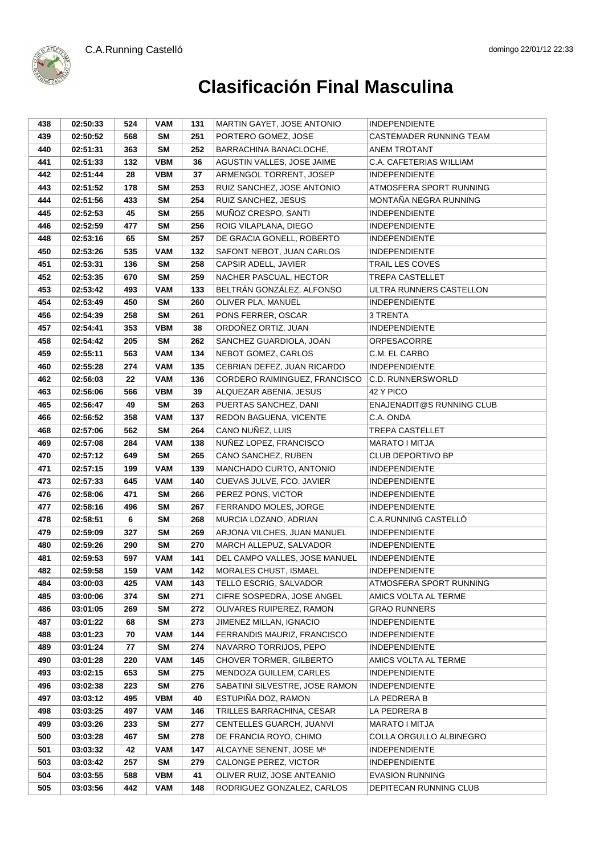C.A.Running Castelló



| 438 | 02:50:33 | 524 | VAM        | 131 | MARTIN GAYET, JOSE ANTONIO     | <b>INDEPENDIENTE</b>        |
|-----|----------|-----|------------|-----|--------------------------------|-----------------------------|
| 439 | 02:50:52 | 568 | <b>SM</b>  | 251 | PORTERO GOMEZ, JOSE            | CASTEMADER RUNNING TEAM     |
| 440 | 02:51:31 | 363 | SM         | 252 | BARRACHINA BANACLOCHE.         | ANEM TROTANT                |
| 441 | 02:51:33 | 132 | <b>VBM</b> | 36  | AGUSTIN VALLES, JOSE JAIME     | C.A. CAFETERIAS WILLIAM     |
| 442 | 02:51:44 | 28  | <b>VBM</b> | 37  | ARMENGOL TORRENT, JOSEP        | <b>INDEPENDIENTE</b>        |
| 443 | 02:51:52 | 178 | <b>SM</b>  | 253 | RUIZ SANCHEZ, JOSE ANTONIO     | ATMOSFERA SPORT RUNNING     |
| 444 | 02:51:56 | 433 | <b>SM</b>  | 254 | RUIZ SANCHEZ, JESUS            | MONTAÑA NEGRA RUNNING       |
| 445 | 02:52:53 | 45  | SM         | 255 | MUÑOZ CRESPO, SANTI            | <b>INDEPENDIENTE</b>        |
| 446 | 02:52:59 | 477 | <b>SM</b>  | 256 | ROIG VILAPLANA, DIEGO          | <b>INDEPENDIENTE</b>        |
| 448 | 02:53:16 | 65  | SM         | 257 | DE GRACIA GONELL, ROBERTO      | <b>INDEPENDIENTE</b>        |
| 450 | 02:53:26 | 535 | <b>VAM</b> | 132 | SAFONT NEBOT, JUAN CARLOS      | <b>INDEPENDIENTE</b>        |
| 451 | 02:53:31 | 136 | <b>SM</b>  | 258 | CAPSIR ADELL, JAVIER           | <b>TRAIL LES COVES</b>      |
| 452 | 02:53:35 | 670 | <b>SM</b>  | 259 | NACHER PASCUAL, HECTOR         | <b>TREPA CASTELLET</b>      |
| 453 | 02:53:42 | 493 | <b>VAM</b> | 133 | BELTRÁN GONZÁLEZ, ALFONSO      | ULTRA RUNNERS CASTELLON     |
| 454 | 02:53:49 | 450 | <b>SM</b>  | 260 | OLIVER PLA, MANUEL             | <b>INDEPENDIENTE</b>        |
| 456 | 02:54:39 | 258 | <b>SM</b>  | 261 | PONS FERRER, OSCAR             | 3 TRENTA                    |
| 457 | 02:54:41 | 353 | <b>VBM</b> | 38  | ORDOÑEZ ORTIZ, JUAN            | <b>INDEPENDIENTE</b>        |
| 458 | 02:54:42 | 205 | <b>SM</b>  | 262 | SANCHEZ GUARDIOLA, JOAN        | ORPESACORRE                 |
| 459 | 02:55:11 | 563 | <b>VAM</b> | 134 | NEBOT GOMEZ, CARLOS            | C.M. EL CARBO               |
| 460 | 02:55:28 | 274 | <b>VAM</b> | 135 | CEBRIAN DEFEZ, JUAN RICARDO    | <b>INDEPENDIENTE</b>        |
| 462 | 02:56:03 | 22  | <b>VAM</b> | 136 | CORDERO RAIMINGUEZ, FRANCISCO  | <b>C.D. RUNNERSWORLD</b>    |
| 463 | 02:56:06 | 566 | <b>VBM</b> | 39  | ALQUEZAR ABENIA, JESUS         | 42 Y PICO                   |
| 465 | 02:56:47 | 49  | SM         | 263 | PUERTAS SANCHEZ, DANI          | ENAJENADIT@S RUNNING CLUB   |
| 466 | 02:56:52 | 358 | <b>VAM</b> | 137 | REDON BAGUENA, VICENTE         | C.A. ONDA                   |
| 468 | 02:57:06 | 562 | <b>SM</b>  | 264 | CANO NUÑEZ, LUIS               | <b>TREPA CASTELLET</b>      |
| 469 | 02:57:08 | 284 | VAM        | 138 | NUÑEZ LOPEZ, FRANCISCO         | <b>MARATO I MITJA</b>       |
| 470 | 02:57:12 | 649 | <b>SM</b>  | 265 | CANO SANCHEZ, RUBEN            | <b>CLUB DEPORTIVO BP</b>    |
| 471 | 02:57:15 | 199 | <b>VAM</b> | 139 | MANCHADO CURTO, ANTONIO        | <b>INDEPENDIENTE</b>        |
| 473 | 02:57:33 | 645 | <b>VAM</b> | 140 | CUEVAS JULVE, FCO. JAVIER      | <b>INDEPENDIENTE</b>        |
| 476 | 02:58:06 | 471 | SM         | 266 | PEREZ PONS, VICTOR             | <b>INDEPENDIENTE</b>        |
| 477 | 02:58:16 | 496 | <b>SM</b>  | 267 | FERRANDO MOLES, JORGE          | <b>INDEPENDIENTE</b>        |
| 478 | 02:58:51 | 6   | <b>SM</b>  | 268 | MURCIA LOZANO, ADRIAN          | <b>C.A.RUNNING CASTELLO</b> |
| 479 | 02:59:09 | 327 | <b>SM</b>  | 269 | ARJONA VILCHES, JUAN MANUEL    | <b>INDEPENDIENTE</b>        |
| 480 | 02:59:26 | 290 | SM         | 270 | MARCH ALLEPUZ, SALVADOR        | INDEPENDIENTE               |
| 481 | 02:59:53 | 597 | <b>VAM</b> | 141 | DEL CAMPO VALLES, JOSE MANUEL  | <b>INDEPENDIENTE</b>        |
| 482 | 02:59:58 | 159 | <b>VAM</b> | 142 | MORALES CHUST, ISMAEL          | INDEPENDIENTE               |
| 484 | 03:00:03 | 425 | VAM        | 143 | TELLO ESCRIG, SALVADOR         | ATMOSFERA SPORT RUNNING     |
| 485 | 03:00:06 | 374 | SM         | 271 | CIFRE SOSPEDRA, JOSE ANGEL     | AMICS VOLTA AL TERME        |
| 486 | 03:01:05 | 269 | <b>SM</b>  | 272 | OLIVARES RUIPEREZ, RAMON       | <b>GRAO RUNNERS</b>         |
| 487 | 03:01:22 | 68  | <b>SM</b>  | 273 | JIMENEZ MILLAN, IGNACIO        | <b>INDEPENDIENTE</b>        |
| 488 | 03:01:23 | 70  | <b>VAM</b> | 144 | FERRANDIS MAURIZ, FRANCISCO    | <b>INDEPENDIENTE</b>        |
| 489 | 03:01:24 | 77  | SM         | 274 | NAVARRO TORRIJOS, PEPO         | <b>INDEPENDIENTE</b>        |
| 490 | 03:01:28 | 220 | VAM        | 145 | CHOVER TORMER, GILBERTO        | AMICS VOLTA AL TERME        |
| 493 | 03:02:15 | 653 | <b>SM</b>  | 275 | MENDOZA GUILLEM, CARLES        | <b>INDEPENDIENTE</b>        |
| 496 | 03:02:38 | 223 | <b>SM</b>  | 276 | SABATINI SILVESTRE, JOSE RAMON | <b>INDEPENDIENTE</b>        |
| 497 | 03:03:12 | 495 | <b>VBM</b> | 40  | ESTUPIÑA DOZ, RAMON            | LA PEDRERA B                |
| 498 | 03:03:25 | 497 | <b>VAM</b> | 146 | TRILLES BARRACHINA, CESAR      | LA PEDRERA B                |
| 499 | 03:03:26 | 233 | <b>SM</b>  | 277 | CENTELLES GUARCH, JUANVI       | MARATO I MITJA              |
| 500 | 03:03:28 | 467 | <b>SM</b>  | 278 | DE FRANCIA ROYO, CHIMO         | COLLA ORGULLO ALBINEGRO     |
| 501 | 03:03:32 | 42  | <b>VAM</b> | 147 | ALCAYNE SENENT, JOSE Mª        | <b>INDEPENDIENTE</b>        |
| 503 | 03:03:42 | 257 | <b>SM</b>  | 279 | CALONGE PEREZ, VICTOR          | <b>INDEPENDIENTE</b>        |
| 504 | 03:03:55 | 588 | <b>VBM</b> | 41  | OLIVER RUIZ, JOSE ANTEANIO     | <b>EVASION RUNNING</b>      |
| 505 | 03:03:56 | 442 | <b>VAM</b> | 148 | RODRIGUEZ GONZALEZ, CARLOS     | DEPITECAN RUNNING CLUB      |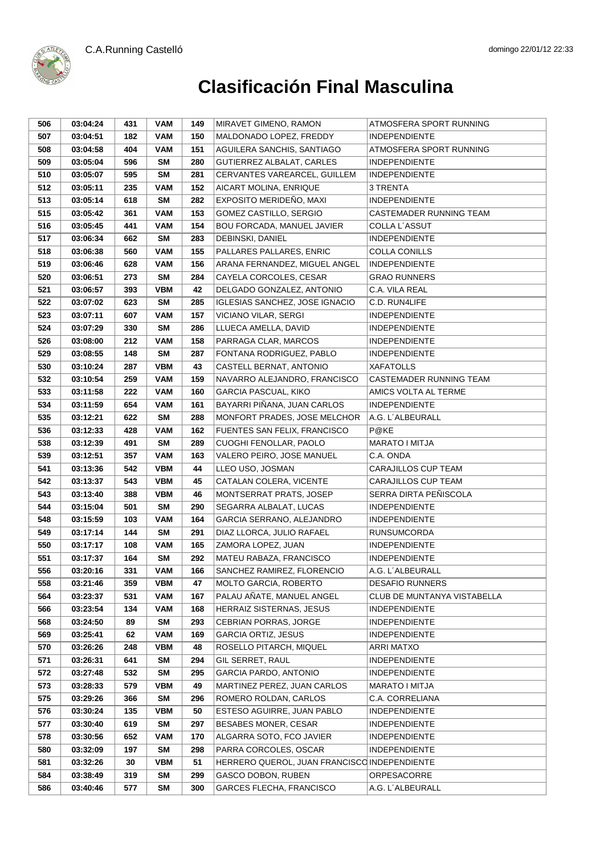



| 506 | 03:04:24 | 431 | <b>VAM</b> | 149 | MIRAVET GIMENO, RAMON                        | ATMOSFERA SPORT RUNNING     |
|-----|----------|-----|------------|-----|----------------------------------------------|-----------------------------|
| 507 | 03:04:51 | 182 | <b>VAM</b> | 150 | MALDONADO LOPEZ, FREDDY                      | <b>INDEPENDIENTE</b>        |
| 508 | 03:04:58 | 404 | <b>VAM</b> | 151 | AGUILERA SANCHIS, SANTIAGO                   | ATMOSFERA SPORT RUNNING     |
| 509 | 03:05:04 | 596 | <b>SM</b>  | 280 | GUTIERREZ ALBALAT, CARLES                    | <b>INDEPENDIENTE</b>        |
| 510 | 03:05:07 | 595 | <b>SM</b>  | 281 | CERVANTES VAREARCEL, GUILLEM                 | INDEPENDIENTE               |
| 512 | 03:05:11 | 235 | VAM        | 152 | AICART MOLINA, ENRIQUE                       | 3 TRENTA                    |
| 513 | 03:05:14 | 618 | <b>SM</b>  | 282 | EXPOSITO MERIDEÑO, MAXI                      | <b>INDEPENDIENTE</b>        |
| 515 | 03:05:42 | 361 | <b>VAM</b> | 153 | GOMEZ CASTILLO, SERGIO                       | CASTEMADER RUNNING TEAM     |
| 516 | 03:05:45 | 441 | <b>VAM</b> | 154 | <b>BOU FORCADA, MANUEL JAVIER</b>            | COLLA L'ASSUT               |
| 517 | 03:06:34 | 662 | <b>SM</b>  | 283 | DEBINSKI, DANIEL                             | <b>INDEPENDIENTE</b>        |
| 518 | 03:06:38 | 560 | <b>VAM</b> | 155 | PALLARES PALLARES, ENRIC                     | <b>COLLA CONILLS</b>        |
| 519 | 03:06:46 | 628 | <b>VAM</b> | 156 | ARANA FERNANDEZ, MIGUEL ANGEL                | <b>INDEPENDIENTE</b>        |
| 520 | 03:06:51 | 273 | <b>SM</b>  | 284 | CAYELA CORCOLES, CESAR                       | <b>GRAO RUNNERS</b>         |
| 521 | 03:06:57 | 393 | <b>VBM</b> | 42  | DELGADO GONZALEZ, ANTONIO                    | C.A. VILA REAL              |
| 522 | 03:07:02 | 623 | <b>SM</b>  | 285 | <b>IGLESIAS SANCHEZ, JOSE IGNACIO</b>        | C.D. RUN4LIFE               |
| 523 | 03:07:11 | 607 | VAM        | 157 | VICIANO VILAR, SERGI                         | <b>INDEPENDIENTE</b>        |
| 524 | 03:07:29 | 330 | <b>SM</b>  | 286 | LLUECA AMELLA, DAVID                         | <b>INDEPENDIENTE</b>        |
| 526 | 03:08:00 | 212 | <b>VAM</b> | 158 | PARRAGA CLAR, MARCOS                         | <b>INDEPENDIENTE</b>        |
| 529 | 03:08:55 | 148 | <b>SM</b>  | 287 | FONTANA RODRIGUEZ, PABLO                     | <b>INDEPENDIENTE</b>        |
| 530 | 03:10:24 | 287 | <b>VBM</b> | 43  | CASTELL BERNAT, ANTONIO                      | <b>XAFATOLLS</b>            |
| 532 | 03:10:54 | 259 | <b>VAM</b> | 159 | NAVARRO ALEJANDRO, FRANCISCO                 | CASTEMADER RUNNING TEAM     |
| 533 | 03:11:58 | 222 | <b>VAM</b> | 160 | <b>GARCIA PASCUAL, KIKO</b>                  | AMICS VOLTA AL TERME        |
| 534 | 03:11:59 | 654 | <b>VAM</b> | 161 | BAYARRI PIÑANA, JUAN CARLOS                  | <b>INDEPENDIENTE</b>        |
| 535 | 03:12:21 | 622 | SM         | 288 | MONFORT PRADES, JOSE MELCHOR                 | A.G. L'ALBEURALL            |
| 536 | 03:12:33 | 428 | <b>VAM</b> | 162 | FUENTES SAN FELIX, FRANCISCO                 | P@KE                        |
| 538 | 03:12:39 | 491 | SM         | 289 | CUOGHI FENOLLAR, PAOLO                       | <b>MARATO I MITJA</b>       |
| 539 | 03:12:51 | 357 | <b>VAM</b> | 163 | VALERO PEIRO, JOSE MANUEL                    | C.A. ONDA                   |
| 541 | 03:13:36 | 542 | <b>VBM</b> | 44  | LLEO USO, JOSMAN                             | CARAJILLOS CUP TEAM         |
| 542 | 03:13:37 | 543 | <b>VBM</b> | 45  | CATALAN COLERA, VICENTE                      | CARAJILLOS CUP TEAM         |
| 543 | 03:13:40 | 388 | <b>VBM</b> | 46  | MONTSERRAT PRATS, JOSEP                      | SERRA DIRTA PEÑISCOLA       |
| 544 | 03:15:04 | 501 | SM         | 290 | SEGARRA ALBALAT, LUCAS                       | <b>INDEPENDIENTE</b>        |
| 548 | 03:15:59 | 103 | <b>VAM</b> | 164 | GARCIA SERRANO, ALEJANDRO                    | <b>INDEPENDIENTE</b>        |
| 549 | 03:17:14 | 144 | SM         | 291 | DIAZ LLORCA, JULIO RAFAEL                    | <b>RUNSUMCORDA</b>          |
| 550 | 03:17:17 | 108 | <b>VAM</b> | 165 | ZAMORA LOPEZ, JUAN                           | INDEPENDIENTE               |
| 551 | 03:17:37 | 164 | <b>SM</b>  | 292 | MATEU RABAZA, FRANCISCO                      | <b>INDEPENDIENTE</b>        |
| 556 | 03:20:16 | 331 | <b>VAM</b> | 166 | SANCHEZ RAMIREZ, FLORENCIO                   | A.G. L'ALBEURALL            |
| 558 | 03:21:46 | 359 | <b>VBM</b> | 47  | <b>MOLTO GARCIA, ROBERTO</b>                 | <b>DESAFIO RUNNERS</b>      |
| 564 | 03:23:37 | 531 | <b>VAM</b> | 167 | PALAU AÑATE, MANUEL ANGEL                    | CLUB DE MUNTANYA VISTABELLA |
| 566 | 03:23:54 | 134 | <b>VAM</b> | 168 | HERRAIZ SISTERNAS, JESUS                     | <b>INDEPENDIENTE</b>        |
| 568 | 03:24:50 | 89  | <b>SM</b>  | 293 | CEBRIAN PORRAS, JORGE                        | <b>INDEPENDIENTE</b>        |
| 569 | 03:25:41 | 62  | <b>VAM</b> | 169 | <b>GARCIA ORTIZ, JESUS</b>                   | <b>INDEPENDIENTE</b>        |
| 570 | 03:26:26 | 248 | VBM        | 48  | ROSELLO PITARCH, MIQUEL                      | <b>ARRI MATXO</b>           |
| 571 | 03:26:31 | 641 | SM         | 294 | GIL SERRET, RAUL                             | <b>INDEPENDIENTE</b>        |
| 572 | 03:27:48 | 532 | <b>SM</b>  | 295 | GARCIA PARDO, ANTONIO                        | <b>INDEPENDIENTE</b>        |
| 573 | 03:28:33 | 579 | <b>VBM</b> | 49  | MARTINEZ PEREZ, JUAN CARLOS                  | MARATO I MITJA              |
| 575 | 03:29:26 | 366 | <b>SM</b>  | 296 | ROMERO ROLDAN, CARLOS                        | C.A. CORRELIANA             |
| 576 | 03:30:24 | 135 | <b>VBM</b> | 50  | ESTESO AGUIRRE, JUAN PABLO                   | <b>INDEPENDIENTE</b>        |
| 577 | 03:30:40 | 619 | <b>SM</b>  | 297 | <b>BESABES MONER, CESAR</b>                  | <b>INDEPENDIENTE</b>        |
| 578 | 03:30:56 | 652 | <b>VAM</b> | 170 | ALGARRA SOTO, FCO JAVIER                     | <b>INDEPENDIENTE</b>        |
| 580 | 03:32:09 | 197 | <b>SM</b>  | 298 | PARRA CORCOLES, OSCAR                        | <b>INDEPENDIENTE</b>        |
| 581 | 03:32:26 | 30  | <b>VBM</b> | 51  | HERRERO QUEROL, JUAN FRANCISCO INDEPENDIENTE |                             |
| 584 | 03:38:49 | 319 | <b>SM</b>  | 299 | GASCO DOBON, RUBEN                           | ORPESACORRE                 |
| 586 | 03:40:46 | 577 | <b>SM</b>  | 300 | GARCES FLECHA, FRANCISCO                     | A.G. L'ALBEURALL            |